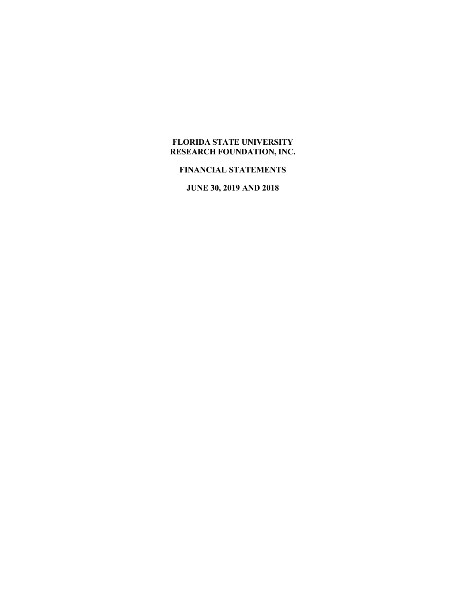# **FLORIDA STATE UNIVERSITY RESEARCH FOUNDATION, INC.**

# **FINANCIAL STATEMENTS**

**JUNE 30, 2019 AND 2018**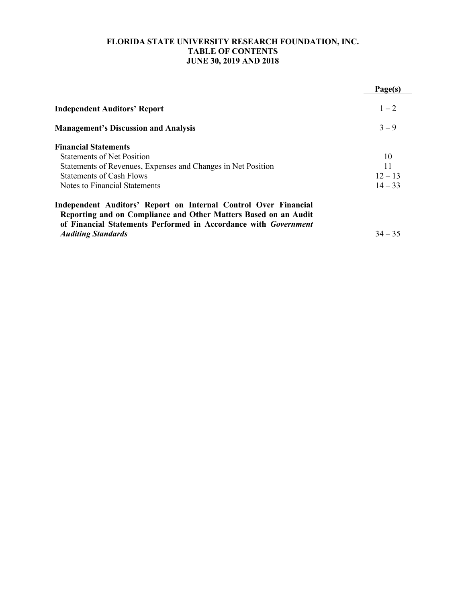# **FLORIDA STATE UNIVERSITY RESEARCH FOUNDATION, INC. TABLE OF CONTENTS JUNE 30, 2019 AND 2018**

|                                                                                                                                                                                                              | Page(s)   |
|--------------------------------------------------------------------------------------------------------------------------------------------------------------------------------------------------------------|-----------|
| <b>Independent Auditors' Report</b>                                                                                                                                                                          | $1 - 2$   |
| <b>Management's Discussion and Analysis</b>                                                                                                                                                                  | $3 - 9$   |
| <b>Financial Statements</b>                                                                                                                                                                                  |           |
| <b>Statements of Net Position</b>                                                                                                                                                                            | 10        |
| Statements of Revenues, Expenses and Changes in Net Position                                                                                                                                                 | 11        |
| <b>Statements of Cash Flows</b>                                                                                                                                                                              | $12 - 13$ |
| Notes to Financial Statements                                                                                                                                                                                | $14 - 33$ |
| Independent Auditors' Report on Internal Control Over Financial<br>Reporting and on Compliance and Other Matters Based on an Audit<br>of Financial Statements Performed in Accordance with <i>Government</i> |           |
| <b>Auditing Standards</b>                                                                                                                                                                                    | $34 - 35$ |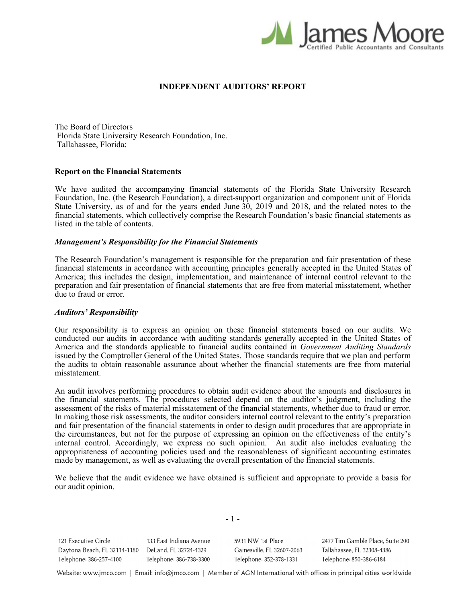

#### **INDEPENDENT AUDITORS' REPORT**

The Board of Directors Florida State University Research Foundation, Inc. Tallahassee, Florida:

#### **Report on the Financial Statements**

We have audited the accompanying financial statements of the Florida State University Research Foundation, Inc. (the Research Foundation), a direct-support organization and component unit of Florida State University, as of and for the years ended June  $\frac{1}{20}$ , 2019 and 2018, and the related notes to the financial statements, which collectively comprise the Research Foundation's basic financial statements as listed in the table of contents.

#### *Management's Responsibility for the Financial Statements*

The Research Foundation's management is responsible for the preparation and fair presentation of these financial statements in accordance with accounting principles generally accepted in the United States of America; this includes the design, implementation, and maintenance of internal control relevant to the preparation and fair presentation of financial statements that are free from material misstatement, whether due to fraud or error.

#### *Auditors' Responsibility*

Our responsibility is to express an opinion on these financial statements based on our audits. We conducted our audits in accordance with auditing standards generally accepted in the United States of America and the standards applicable to financial audits contained in *Government Auditing Standards* issued by the Comptroller General of the United States. Those standards require that we plan and perform the audits to obtain reasonable assurance about whether the financial statements are free from material misstatement.

An audit involves performing procedures to obtain audit evidence about the amounts and disclosures in the financial statements. The procedures selected depend on the auditor's judgment, including the assessment of the risks of material misstatement of the financial statements, whether due to fraud or error. In making those risk assessments, the auditor considers internal control relevant to the entity's preparation and fair presentation of the financial statements in order to design audit procedures that are appropriate in the circumstances, but not for the purpose of expressing an opinion on the effectiveness of the entity's internal control. Accordingly, we express no such opinion. An audit also includes evaluating the appropriateness of accounting policies used and the reasonableness of significant accounting estimates made by management, as well as evaluating the overall presentation of the financial statements.

We believe that the audit evidence we have obtained is sufficient and appropriate to provide a basis for our audit opinion.

 $-1 -$ 

121 Executive Circle 133 East Indiana Avenue Daytona Beach, FL 32114-1180 DeLand, FL 32724-4329 Telephone: 386-257-4100 Telephone: 386-738-3300

5931 NW 1st Place Gainesville, FL 32607-2063 Telephone: 352-378-1331

2477 Tim Gamble Place, Suite 200 Tallahassee, FL 32308-4386 Telephone: 850-386-6184

Website: www.jmco.com | Email: info@jmco.com | Member of AGN International with offices in principal cities worldwide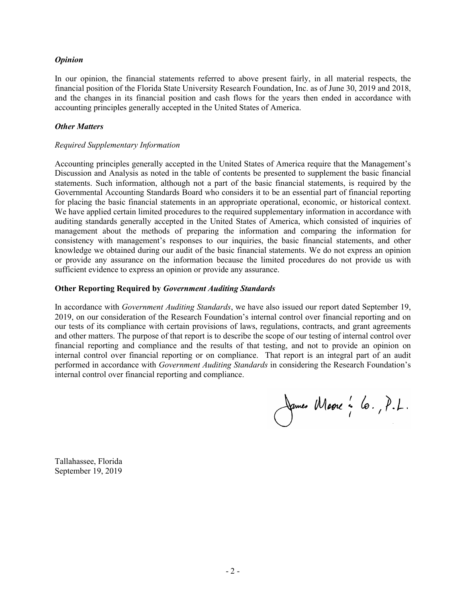#### *Opinion*

In our opinion, the financial statements referred to above present fairly, in all material respects, the financial position of the Florida State University Research Foundation, Inc. as of June 30, 2019 and 2018, and the changes in its financial position and cash flows for the years then ended in accordance with accounting principles generally accepted in the United States of America.

#### *Other Matters*

#### *Required Supplementary Information*

Accounting principles generally accepted in the United States of America require that the Management's Discussion and Analysis as noted in the table of contents be presented to supplement the basic financial statements. Such information, although not a part of the basic financial statements, is required by the Governmental Accounting Standards Board who considers it to be an essential part of financial reporting for placing the basic financial statements in an appropriate operational, economic, or historical context. We have applied certain limited procedures to the required supplementary information in accordance with auditing standards generally accepted in the United States of America, which consisted of inquiries of management about the methods of preparing the information and comparing the information for consistency with management's responses to our inquiries, the basic financial statements, and other knowledge we obtained during our audit of the basic financial statements. We do not express an opinion or provide any assurance on the information because the limited procedures do not provide us with sufficient evidence to express an opinion or provide any assurance.

## **Other Reporting Required by** *Government Auditing Standards*

In accordance with *Government Auditing Standards*, we have also issued our report dated September 19, 2019, on our consideration of the Research Foundation's internal control over financial reporting and on our tests of its compliance with certain provisions of laws, regulations, contracts, and grant agreements and other matters. The purpose of that report is to describe the scope of our testing of internal control over financial reporting and compliance and the results of that testing, and not to provide an opinion on internal control over financial reporting or on compliance. That report is an integral part of an audit performed in accordance with *Government Auditing Standards* in considering the Research Foundation's internal control over financial reporting and compliance.

James Marre : 6., P.L.

Tallahassee, Florida September 19, 2019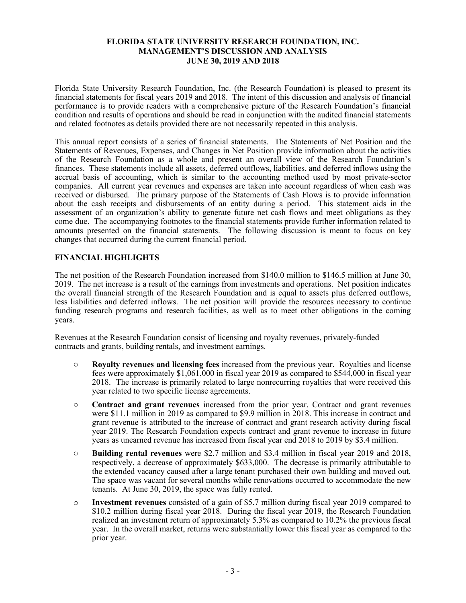Florida State University Research Foundation, Inc. (the Research Foundation) is pleased to present its financial statements for fiscal years 2019 and 2018. The intent of this discussion and analysis of financial performance is to provide readers with a comprehensive picture of the Research Foundation's financial condition and results of operations and should be read in conjunction with the audited financial statements and related footnotes as details provided there are not necessarily repeated in this analysis.

This annual report consists of a series of financial statements. The Statements of Net Position and the Statements of Revenues, Expenses, and Changes in Net Position provide information about the activities of the Research Foundation as a whole and present an overall view of the Research Foundation's finances. These statements include all assets, deferred outflows, liabilities, and deferred inflows using the accrual basis of accounting, which is similar to the accounting method used by most private-sector companies. All current year revenues and expenses are taken into account regardless of when cash was received or disbursed. The primary purpose of the Statements of Cash Flows is to provide information about the cash receipts and disbursements of an entity during a period. This statement aids in the assessment of an organization's ability to generate future net cash flows and meet obligations as they come due. The accompanying footnotes to the financial statements provide further information related to amounts presented on the financial statements. The following discussion is meant to focus on key changes that occurred during the current financial period.

# **FINANCIAL HIGHLIGHTS**

The net position of the Research Foundation increased from \$140.0 million to \$146.5 million at June 30, 2019. The net increase is a result of the earnings from investments and operations. Net position indicates the overall financial strength of the Research Foundation and is equal to assets plus deferred outflows, less liabilities and deferred inflows. The net position will provide the resources necessary to continue funding research programs and research facilities, as well as to meet other obligations in the coming years.

Revenues at the Research Foundation consist of licensing and royalty revenues, privately-funded contracts and grants, building rentals, and investment earnings.

- **○ Royalty revenues and licensing fees** increased from the previous year. Royalties and license fees were approximately \$1,061,000 in fiscal year 2019 as compared to \$544,000 in fiscal year 2018. The increase is primarily related to large nonrecurring royalties that were received this year related to two specific license agreements.
- **○ Contract and grant revenues** increased from the prior year. Contract and grant revenues were \$11.1 million in 2019 as compared to \$9.9 million in 2018. This increase in contract and grant revenue is attributed to the increase of contract and grant research activity during fiscal year 2019. The Research Foundation expects contract and grant revenue to increase in future years as unearned revenue has increased from fiscal year end 2018 to 2019 by \$3.4 million.
- **○ Building rental revenues** were \$2.7 million and \$3.4 million in fiscal year 2019 and 2018, respectively, a decrease of approximately \$633,000. The decrease is primarily attributable to the extended vacancy caused after a large tenant purchased their own building and moved out. The space was vacant for several months while renovations occurred to accommodate the new tenants. At June 30, 2019, the space was fully rented.
- o **Investment revenues** consisted of a gain of \$5.7 million during fiscal year 2019 compared to \$10.2 million during fiscal year 2018. During the fiscal year 2019, the Research Foundation realized an investment return of approximately 5.3% as compared to 10.2% the previous fiscal year. In the overall market, returns were substantially lower this fiscal year as compared to the prior year.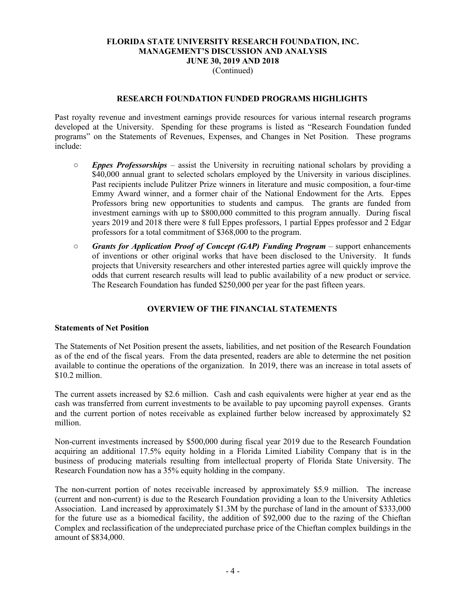#### **RESEARCH FOUNDATION FUNDED PROGRAMS HIGHLIGHTS**

Past royalty revenue and investment earnings provide resources for various internal research programs developed at the University. Spending for these programs is listed as "Research Foundation funded programs" on the Statements of Revenues, Expenses, and Changes in Net Position. These programs include:

- **○** *Eppes Professorships* assist the University in recruiting national scholars by providing a \$40,000 annual grant to selected scholars employed by the University in various disciplines. Past recipients include Pulitzer Prize winners in literature and music composition, a four-time Emmy Award winner, and a former chair of the National Endowment for the Arts. Eppes Professors bring new opportunities to students and campus. The grants are funded from investment earnings with up to \$800,000 committed to this program annually. During fiscal years 2019 and 2018 there were 8 full Eppes professors, 1 partial Eppes professor and 2 Edgar professors for a total commitment of \$368,000 to the program.
- **○** *Grants for Application Proof of Concept (GAP) Funding Program*  support enhancements of inventions or other original works that have been disclosed to the University. It funds projects that University researchers and other interested parties agree will quickly improve the odds that current research results will lead to public availability of a new product or service. The Research Foundation has funded \$250,000 per year for the past fifteen years.

## **OVERVIEW OF THE FINANCIAL STATEMENTS**

#### **Statements of Net Position**

The Statements of Net Position present the assets, liabilities, and net position of the Research Foundation as of the end of the fiscal years. From the data presented, readers are able to determine the net position available to continue the operations of the organization. In 2019, there was an increase in total assets of \$10.2 million.

The current assets increased by \$2.6 million. Cash and cash equivalents were higher at year end as the cash was transferred from current investments to be available to pay upcoming payroll expenses. Grants and the current portion of notes receivable as explained further below increased by approximately \$2 million.

Non-current investments increased by \$500,000 during fiscal year 2019 due to the Research Foundation acquiring an additional 17.5% equity holding in a Florida Limited Liability Company that is in the business of producing materials resulting from intellectual property of Florida State University. The Research Foundation now has a 35% equity holding in the company.

The non-current portion of notes receivable increased by approximately \$5.9 million. The increase (current and non-current) is due to the Research Foundation providing a loan to the University Athletics Association. Land increased by approximately \$1.3M by the purchase of land in the amount of \$333,000 for the future use as a biomedical facility, the addition of \$92,000 due to the razing of the Chieftan Complex and reclassification of the undepreciated purchase price of the Chieftan complex buildings in the amount of \$834,000.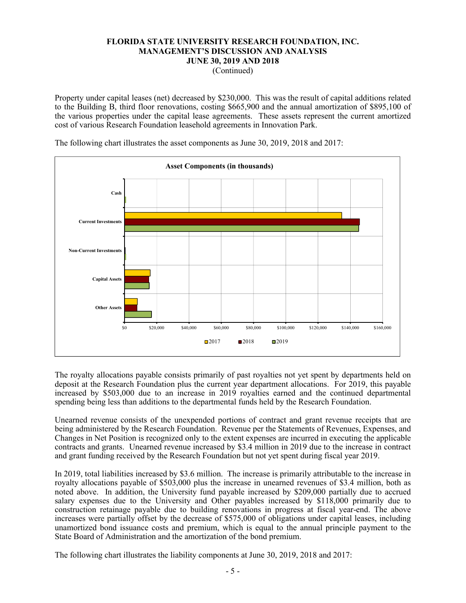Property under capital leases (net) decreased by \$230,000. This was the result of capital additions related to the Building B, third floor renovations, costing \$665,900 and the annual amortization of \$895,100 of the various properties under the capital lease agreements. These assets represent the current amortized cost of various Research Foundation leasehold agreements in Innovation Park.

\$0 \$20,000 \$40,000 \$60,000 \$80,000 \$100,000 \$120,000 \$140,000 \$160,000  **Other Assets Capital Assets Non-Current Investments Current Investments**  $\cos$ **Asset Components (in thousands)**  $2017$  2018 2019

The following chart illustrates the asset components as June 30, 2019, 2018 and 2017:

The royalty allocations payable consists primarily of past royalties not yet spent by departments held on deposit at the Research Foundation plus the current year department allocations. For 2019, this payable increased by \$503,000 due to an increase in 2019 royalties earned and the continued departmental spending being less than additions to the departmental funds held by the Research Foundation.

Unearned revenue consists of the unexpended portions of contract and grant revenue receipts that are being administered by the Research Foundation. Revenue per the Statements of Revenues, Expenses, and Changes in Net Position is recognized only to the extent expenses are incurred in executing the applicable contracts and grants. Unearned revenue increased by \$3.4 million in 2019 due to the increase in contract and grant funding received by the Research Foundation but not yet spent during fiscal year 2019.

In 2019, total liabilities increased by \$3.6 million. The increase is primarily attributable to the increase in royalty allocations payable of \$503,000 plus the increase in unearned revenues of \$3.4 million, both as noted above. In addition, the University fund payable increased by \$209,000 partially due to accrued salary expenses due to the University and Other payables increased by \$118,000 primarily due to construction retainage payable due to building renovations in progress at fiscal year-end. The above increases were partially offset by the decrease of \$575,000 of obligations under capital leases, including unamortized bond issuance costs and premium, which is equal to the annual principle payment to the State Board of Administration and the amortization of the bond premium.

The following chart illustrates the liability components at June 30, 2019, 2018 and 2017: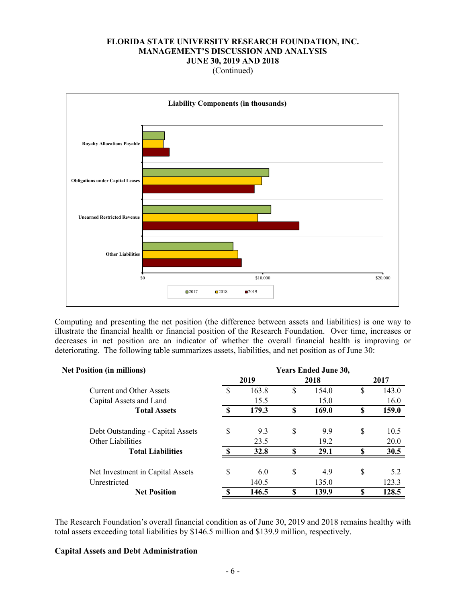

Computing and presenting the net position (the difference between assets and liabilities) is one way to illustrate the financial health or financial position of the Research Foundation. Over time, increases or decreases in net position are an indicator of whether the overall financial health is improving or deteriorating. The following table summarizes assets, liabilities, and net position as of June 30:

| <b>Net Position (in millions)</b> |    |       |    | <b>Years Ended June 30,</b> |             |
|-----------------------------------|----|-------|----|-----------------------------|-------------|
|                                   |    | 2019  |    | 2018                        | 2017        |
| Current and Other Assets          | S  | 163.8 | \$ | 154.0                       | \$<br>143.0 |
| Capital Assets and Land           |    | 15.5  |    | 15.0                        | 16.0        |
| <b>Total Assets</b>               | -8 | 179.3 | S  | 169.0                       | \$<br>159.0 |
|                                   |    |       |    |                             |             |
| Debt Outstanding - Capital Assets | \$ | 9.3   | \$ | 9.9                         | \$<br>10.5  |
| Other Liabilities                 |    | 23.5  |    | 19.2                        | 20.0        |
| <b>Total Liabilities</b>          |    | 32.8  | ¢  | 29.1                        | 30.5        |
| Net Investment in Capital Assets  | \$ | 6.0   | \$ | 4.9                         | \$<br>5.2   |
| Unrestricted                      |    | 140.5 |    | 135.0                       | 123.3       |
| <b>Net Position</b>               |    | 146.5 | \$ | 139.9                       | \$<br>128.5 |
|                                   |    |       |    |                             |             |

The Research Foundation's overall financial condition as of June 30, 2019 and 2018 remains healthy with total assets exceeding total liabilities by \$146.5 million and \$139.9 million, respectively.

## **Capital Assets and Debt Administration**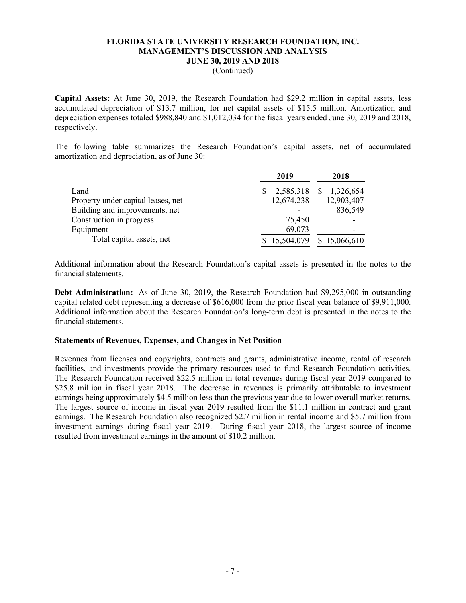(Continued)

**Capital Assets:** At June 30, 2019, the Research Foundation had \$29.2 million in capital assets, less accumulated depreciation of \$13.7 million, for net capital assets of \$15.5 million. Amortization and depreciation expenses totaled \$988,840 and \$1,012,034 for the fiscal years ended June 30, 2019 and 2018, respectively.

The following table summarizes the Research Foundation's capital assets, net of accumulated amortization and depreciation, as of June 30:

|                                    | 2019         | 2018         |
|------------------------------------|--------------|--------------|
| Land                               | 2,585,318    | 1,326,654    |
| Property under capital leases, net | 12,674,238   | 12,903,407   |
| Building and improvements, net     |              | 836,549      |
| Construction in progress           | 175,450      |              |
| Equipment                          | 69,073       |              |
| Total capital assets, net          | \$15,504,079 | \$15,066,610 |

Additional information about the Research Foundation's capital assets is presented in the notes to the financial statements.

**Debt Administration:** As of June 30, 2019, the Research Foundation had \$9,295,000 in outstanding capital related debt representing a decrease of \$616,000 from the prior fiscal year balance of \$9,911,000. Additional information about the Research Foundation's long-term debt is presented in the notes to the financial statements.

## **Statements of Revenues, Expenses, and Changes in Net Position**

Revenues from licenses and copyrights, contracts and grants, administrative income, rental of research facilities, and investments provide the primary resources used to fund Research Foundation activities. The Research Foundation received \$22.5 million in total revenues during fiscal year 2019 compared to \$25.8 million in fiscal year 2018. The decrease in revenues is primarily attributable to investment earnings being approximately \$4.5 million less than the previous year due to lower overall market returns. The largest source of income in fiscal year 2019 resulted from the \$11.1 million in contract and grant earnings. The Research Foundation also recognized \$2.7 million in rental income and \$5.7 million from investment earnings during fiscal year 2019. During fiscal year 2018, the largest source of income resulted from investment earnings in the amount of \$10.2 million.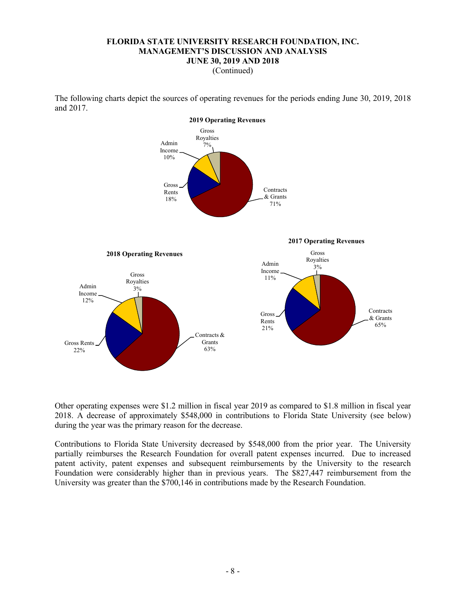(Continued)

The following charts depict the sources of operating revenues for the periods ending June 30, 2019, 2018 and 2017.



Other operating expenses were \$1.2 million in fiscal year 2019 as compared to \$1.8 million in fiscal year 2018. A decrease of approximately \$548,000 in contributions to Florida State University (see below) during the year was the primary reason for the decrease.

Contributions to Florida State University decreased by \$548,000 from the prior year. The University partially reimburses the Research Foundation for overall patent expenses incurred. Due to increased patent activity, patent expenses and subsequent reimbursements by the University to the research Foundation were considerably higher than in previous years. The \$827,447 reimbursement from the University was greater than the \$700,146 in contributions made by the Research Foundation.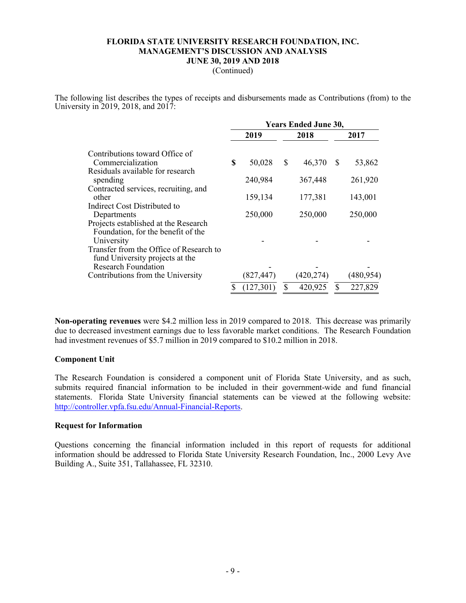(Continued)

The following list describes the types of receipts and disbursements made as Contributions (from) to the University in 2019, 2018, and 2017:

|                                                                                          |      | <b>Years Ended June 30,</b> |      |            |    |            |  |
|------------------------------------------------------------------------------------------|------|-----------------------------|------|------------|----|------------|--|
|                                                                                          | 2019 |                             | 2018 |            |    | 2017       |  |
| Contributions toward Office of                                                           |      |                             |      |            |    |            |  |
| Commercialization                                                                        | \$   | 50,028                      | \$   | 46,370     | S  | 53,862     |  |
| Residuals available for research<br>spending                                             |      | 240,984                     |      | 367,448    |    | 261,920    |  |
| Contracted services, recruiting, and<br>other                                            |      | 159,134                     |      | 177,381    |    | 143,001    |  |
| Indirect Cost Distributed to<br>Departments                                              |      | 250,000                     |      | 250,000    |    | 250,000    |  |
| Projects established at the Research<br>Foundation, for the benefit of the               |      |                             |      |            |    |            |  |
| University<br>Transfer from the Office of Research to<br>fund University projects at the |      |                             |      |            |    |            |  |
| <b>Research Foundation</b>                                                               |      |                             |      |            |    |            |  |
| Contributions from the University                                                        |      | (827, 447)                  |      | (420, 274) |    | (480, 954) |  |
|                                                                                          |      | (127, 301)                  | \$   | 420,925    | \$ | 227,829    |  |

**Non-operating revenues** were \$4.2 million less in 2019 compared to 2018. This decrease was primarily due to decreased investment earnings due to less favorable market conditions. The Research Foundation had investment revenues of \$5.7 million in 2019 compared to \$10.2 million in 2018.

#### **Component Unit**

The Research Foundation is considered a component unit of Florida State University, and as such, submits required financial information to be included in their government-wide and fund financial statements. Florida State University financial statements can be viewed at the following website: http://controller.vpfa.fsu.edu/Annual-Financial-Reports.

#### **Request for Information**

Questions concerning the financial information included in this report of requests for additional information should be addressed to Florida State University Research Foundation, Inc., 2000 Levy Ave Building A., Suite 351, Tallahassee, FL 32310.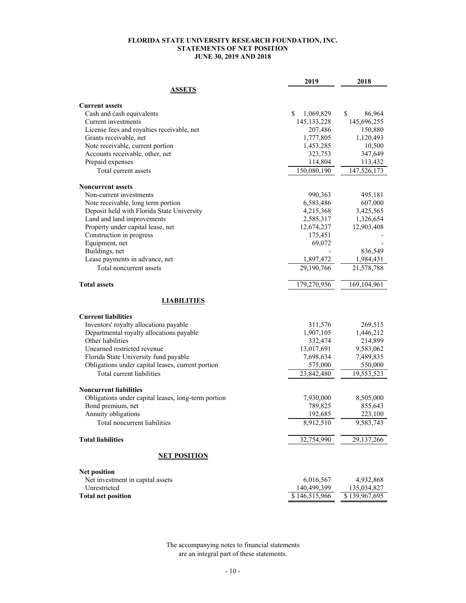#### **FLORIDA STATE UNIVERSITY RESEARCH FOUNDATION, INC. STATEMENTS OF NET POSITION JUNE 30, 2019 AND 2018**

|                                                     | 2019            | 2018                      |
|-----------------------------------------------------|-----------------|---------------------------|
| ASSETS                                              |                 |                           |
| <b>Current assets</b>                               |                 |                           |
| Cash and cash equivalents                           | \$<br>1,069,829 | \$<br>86,964              |
| Current investments                                 | 145, 133, 228   | 145,696,255               |
| License fees and royalties receivable, net          | 207,486         | 150,880                   |
| Grants receivable, net                              | 1,777,805       | 1,120,493                 |
| Note receivable, current portion                    | 1,453,285       | 10,500                    |
| Accounts receivable, other, net                     | 323,753         | 347,649                   |
| Prepaid expenses                                    | 114,804         | 113,432                   |
| Total current assets                                | 150,080,190     | 147,526,173               |
|                                                     |                 |                           |
| <b>Noncurrent assets</b>                            |                 |                           |
| Non-current investments                             | 990,363         | 495,181                   |
| Note receivable, long term portion                  | 6,583,486       | 607,000                   |
| Deposit held with Florida State University          | 4,215,368       | 3,425,565                 |
| Land and land improvements                          | 2,585,317       | 1,326,654                 |
| Property under capital lease, net                   | 12,674,237      | 12,903,408                |
| Construction in progress                            | 175,451         |                           |
| Equipment, net                                      | 69,072          |                           |
| Buildings, net                                      |                 | 836,549                   |
| Lease payments in advance, net                      | 1,897,472       | 1,984,431                 |
| Total noncurrent assets                             | 29,190,766      | 21,578,788                |
| <b>Total assets</b>                                 | 179,270,956     | 169, 104, 961             |
| <b>LIABILITIES</b>                                  |                 |                           |
| <b>Current liabilities</b>                          |                 |                           |
| Inventors' royalty allocations payable              | 311,576         | 269,515                   |
| Departmental royalty allocations payable            | 1,907,105       | 1,446,212                 |
| Other liabilities                                   | 332,474         | 214,899                   |
| Unearned restricted revenue                         | 13,017,691      | 9,583,062                 |
| Florida State University fund payable               | 7,698,634       | 7,489,835                 |
| Obligations under capital leases, current portion   | 575,000         | 550,000                   |
| Total current liabilities                           | 23,842,480      | 19,553,523                |
| <b>Noncurrent liabilities</b>                       |                 |                           |
| Obligations under capital leases, long-term portion | 7,930,000       | 8,505,000                 |
| Bond premium, net                                   | 789,825         | 855,643                   |
| Annuity obligations                                 | 192,685         | 223,100                   |
| Total noncurrent liabilities                        | 8,912,510       | 9,583,743                 |
|                                                     |                 |                           |
| <b>Total liabilities</b>                            | 32,754,990      | 29,137,266                |
| <b>NET POSITION</b>                                 |                 |                           |
| Net position                                        |                 |                           |
| Net investment in capital assets                    | 6,016,567       | 4,932,868                 |
| Unrestricted                                        | 140,499,399     | 135,034,827               |
| <b>Total net position</b>                           | \$146,515,966   | $\overline{$}139,967,695$ |

The accompanying notes to financial statements are an integral part of these statements.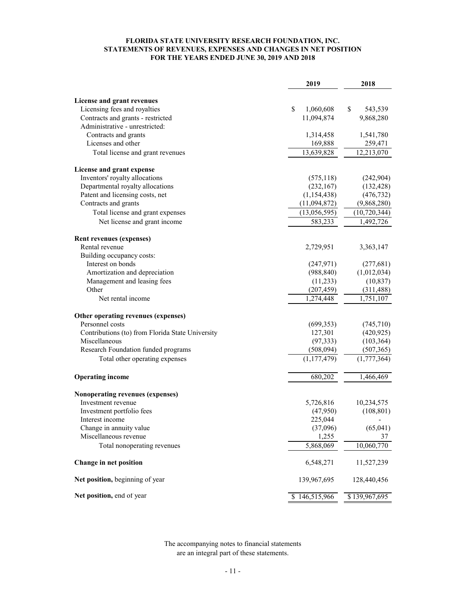#### **FLORIDA STATE UNIVERSITY RESEARCH FOUNDATION, INC. STATEMENTS OF REVENUES, EXPENSES AND CHANGES IN NET POSITION FOR THE YEARS ENDED JUNE 30, 2019 AND 2018**

|                                                  | 2019            | 2018           |
|--------------------------------------------------|-----------------|----------------|
|                                                  |                 |                |
| License and grant revenues                       |                 |                |
| Licensing fees and royalties                     | \$<br>1,060,608 | \$<br>543,539  |
| Contracts and grants - restricted                | 11,094,874      | 9,868,280      |
| Administrative - unrestricted:                   |                 |                |
| Contracts and grants                             | 1,314,458       | 1,541,780      |
| Licenses and other                               | 169,888         | 259,471        |
| Total license and grant revenues                 | 13,639,828      | 12,213,070     |
| License and grant expense                        |                 |                |
| Inventors' royalty allocations                   | (575, 118)      | (242, 904)     |
| Departmental royalty allocations                 | (232, 167)      | (132, 428)     |
| Patent and licensing costs, net                  | (1, 154, 438)   | (476, 732)     |
| Contracts and grants                             | (11,094,872)    | (9,868,280)    |
| Total license and grant expenses                 | (13,056,595)    | (10, 720, 344) |
| Net license and grant income                     | 583,233         | 1,492,726      |
|                                                  |                 |                |
| Rent revenues (expenses)                         |                 |                |
| Rental revenue                                   | 2,729,951       | 3,363,147      |
| Building occupancy costs:                        |                 |                |
| Interest on bonds                                | (247,971)       | (277, 681)     |
| Amortization and depreciation                    | (988, 840)      | (1,012,034)    |
| Management and leasing fees                      | (11, 233)       | (10, 837)      |
| Other                                            | (207, 459)      | (311, 488)     |
| Net rental income                                | 1,274,448       | 1,751,107      |
| Other operating revenues (expenses)              |                 |                |
| Personnel costs                                  | (699, 353)      | (745,710)      |
| Contributions (to) from Florida State University | 127,301         | (420, 925)     |
| Miscellaneous                                    | (97, 333)       | (103, 364)     |
| Research Foundation funded programs              | (508,094)       | (507, 365)     |
| Total other operating expenses                   | (1, 177, 479)   | (1,777,364)    |
|                                                  |                 |                |
| <b>Operating income</b>                          | 680,202         | 1,466,469      |
| Nonoperating revenues (expenses)                 |                 |                |
| Investment revenue                               | 5,726,816       | 10,234,575     |
| Investment portfolio fees                        | (47,950)        | (108, 801)     |
| Interest income                                  | 225,044         |                |
| Change in annuity value                          | (37,096)        | (65,041)       |
| Miscellaneous revenue                            | 1,255           | 37             |
| Total nonoperating revenues                      | 5,868,069       | 10,060,770     |
| Change in net position                           | 6,548,271       | 11,527,239     |
| Net position, beginning of year                  | 139,967,695     | 128,440,456    |
| Net position, end of year                        | \$146,515,966   | \$139,967,695  |

The accompanying notes to financial statements are an integral part of these statements.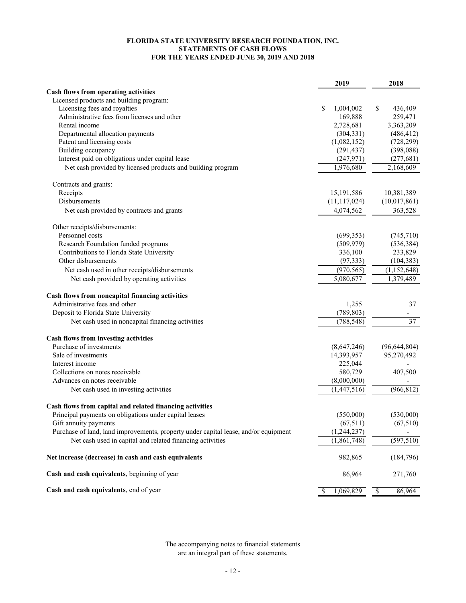#### **FLORIDA STATE UNIVERSITY RESEARCH FOUNDATION, INC. STATEMENTS OF CASH FLOWS FOR THE YEARS ENDED JUNE 30, 2019 AND 2018**

|                                                                                     | 2019            | 2018                 |
|-------------------------------------------------------------------------------------|-----------------|----------------------|
| Cash flows from operating activities                                                |                 |                      |
| Licensed products and building program:                                             |                 |                      |
| Licensing fees and royalties                                                        | \$<br>1,004,002 | \$<br>436,409        |
| Administrative fees from licenses and other                                         | 169,888         | 259,471              |
| Rental income                                                                       | 2,728,681       | 3,363,209            |
| Departmental allocation payments                                                    | (304, 331)      | (486, 412)           |
| Patent and licensing costs                                                          | (1,082,152)     | (728, 299)           |
| Building occupancy                                                                  | (291, 437)      | (398,088)            |
| Interest paid on obligations under capital lease                                    | (247, 971)      | (277, 681)           |
| Net cash provided by licensed products and building program                         | 1,976,680       | 2,168,609            |
| Contracts and grants:                                                               |                 |                      |
| Receipts                                                                            | 15,191,586      | 10,381,389           |
| Disbursements                                                                       | (11, 117, 024)  | (10, 017, 861)       |
| Net cash provided by contracts and grants                                           | 4,074,562       | 363,528              |
| Other receipts/disbursements:                                                       |                 |                      |
| Personnel costs                                                                     | (699, 353)      | (745, 710)           |
| Research Foundation funded programs                                                 | (509, 979)      | (536, 384)           |
| Contributions to Florida State University                                           | 336,100         | 233,829              |
| Other disbursements                                                                 | (97, 333)       | (104, 383)           |
| Net cash used in other receipts/disbursements                                       | (970, 565)      | (1, 152, 648)        |
| Net cash provided by operating activities                                           | 5,080,677       | 1,379,489            |
| Cash flows from noncapital financing activities                                     |                 |                      |
| Administrative fees and other                                                       | 1,255           | 37                   |
| Deposit to Florida State University                                                 | (789, 803)      | -                    |
| Net cash used in noncapital financing activities                                    | (788, 548)      | $\overline{37}$      |
| Cash flows from investing activities                                                |                 |                      |
| Purchase of investments                                                             | (8,647,246)     | (96, 644, 804)       |
| Sale of investments                                                                 | 14,393,957      | 95,270,492           |
| Interest income                                                                     | 225,044         |                      |
| Collections on notes receivable                                                     | 580,729         | 407,500              |
| Advances on notes receivable                                                        | (8,000,000)     |                      |
| Net cash used in investing activities                                               | (1,447,516)     | (966, 812)           |
| Cash flows from capital and related financing activities                            |                 |                      |
| Principal payments on obligations under capital leases                              | (550,000)       | (530,000)            |
| Gift annuity payments                                                               | (67, 511)       | (67, 510)            |
| Purchase of land, land improvements, property under capital lease, and/or equipment | (1,244,237)     |                      |
| Net cash used in capital and related financing activities                           | (1,861,748)     | (597, 510)           |
| Net increase (decrease) in cash and cash equivalents                                | 982,865         | (184,796)            |
| Cash and cash equivalents, beginning of year                                        | 86,964          | 271,760              |
| Cash and cash equivalents, end of year                                              | 1,069,829<br>-S | $\sqrt{3}$<br>86,964 |

The accompanying notes to financial statements are an integral part of these statements.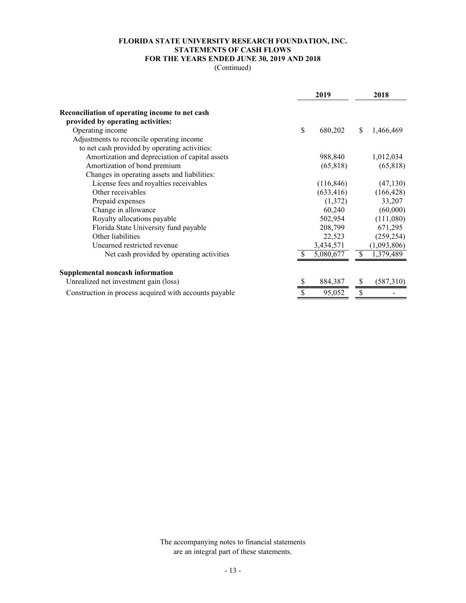#### **FLORIDA STATE UNIVERSITY RESEARCH FOUNDATION, INC. STATEMENTS OF CASH FLOWS FOR THE YEARS ENDED JUNE 30, 2019 AND 2018**

(Continued)

|                                                                                     |    | 2019       | 2018 |             |
|-------------------------------------------------------------------------------------|----|------------|------|-------------|
| Reconciliation of operating income to net cash<br>provided by operating activities: |    |            |      |             |
| Operating income                                                                    | \$ | 680,202    | \$.  | 1,466,469   |
| Adjustments to reconcile operating income                                           |    |            |      |             |
| to net cash provided by operating activities:                                       |    |            |      |             |
| Amortization and depreciation of capital assets                                     |    | 988,840    |      | 1,012,034   |
| Amortization of bond premium                                                        |    | (65, 818)  |      | (65, 818)   |
| Changes in operating assets and liabilities:                                        |    |            |      |             |
| License fees and royalties receivables                                              |    | (116, 846) |      | (47, 130)   |
| Other receivables                                                                   |    | (633, 416) |      | (166, 428)  |
| Prepaid expenses                                                                    |    | (1,372)    |      | 33,207      |
| Change in allowance                                                                 |    | 60,240     |      | (60,000)    |
| Royalty allocations payable                                                         |    | 502,954    |      | (111,080)   |
| Florida State University fund payable                                               |    | 208,799    |      | 671,295     |
| Other liabilities                                                                   |    | 22,523     |      | (259, 254)  |
| Unearned restricted revenue                                                         |    | 3,434,571  |      | (1,093,806) |
| Net cash provided by operating activities                                           |    | 5,080,677  | \$   | 1,379,489   |
| Supplemental noncash information                                                    |    |            |      |             |
| Unrealized net investment gain (loss)                                               |    | 884,387    |      | (587,310)   |
| Construction in process acquired with accounts payable                              |    | 95,052     | \$   |             |

The accompanying notes to financial statements are an integral part of these statements.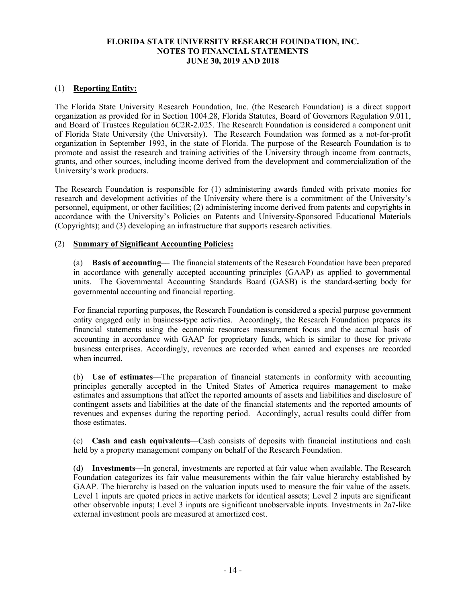# (1) **Reporting Entity:**

The Florida State University Research Foundation, Inc. (the Research Foundation) is a direct support organization as provided for in Section 1004.28, Florida Statutes, Board of Governors Regulation 9.011, and Board of Trustees Regulation 6C2R-2.025. The Research Foundation is considered a component unit of Florida State University (the University). The Research Foundation was formed as a not-for-profit organization in September 1993, in the state of Florida. The purpose of the Research Foundation is to promote and assist the research and training activities of the University through income from contracts, grants, and other sources, including income derived from the development and commercialization of the University's work products.

The Research Foundation is responsible for (1) administering awards funded with private monies for research and development activities of the University where there is a commitment of the University's personnel, equipment, or other facilities; (2) administering income derived from patents and copyrights in accordance with the University's Policies on Patents and University-Sponsored Educational Materials (Copyrights); and (3) developing an infrastructure that supports research activities.

## (2) **Summary of Significant Accounting Policies:**

(a) **Basis of accounting**–– The financial statements of the Research Foundation have been prepared in accordance with generally accepted accounting principles (GAAP) as applied to governmental units. The Governmental Accounting Standards Board (GASB) is the standard-setting body for governmental accounting and financial reporting.

For financial reporting purposes, the Research Foundation is considered a special purpose government entity engaged only in business-type activities. Accordingly, the Research Foundation prepares its financial statements using the economic resources measurement focus and the accrual basis of accounting in accordance with GAAP for proprietary funds, which is similar to those for private business enterprises. Accordingly, revenues are recorded when earned and expenses are recorded when incurred.

(b) **Use of estimates**––The preparation of financial statements in conformity with accounting principles generally accepted in the United States of America requires management to make estimates and assumptions that affect the reported amounts of assets and liabilities and disclosure of contingent assets and liabilities at the date of the financial statements and the reported amounts of revenues and expenses during the reporting period. Accordingly, actual results could differ from those estimates.

(c) **Cash and cash equivalents**––Cash consists of deposits with financial institutions and cash held by a property management company on behalf of the Research Foundation.

(d) **Investments**––In general, investments are reported at fair value when available. The Research Foundation categorizes its fair value measurements within the fair value hierarchy established by GAAP. The hierarchy is based on the valuation inputs used to measure the fair value of the assets. Level 1 inputs are quoted prices in active markets for identical assets; Level 2 inputs are significant other observable inputs; Level 3 inputs are significant unobservable inputs. Investments in 2a7-like external investment pools are measured at amortized cost.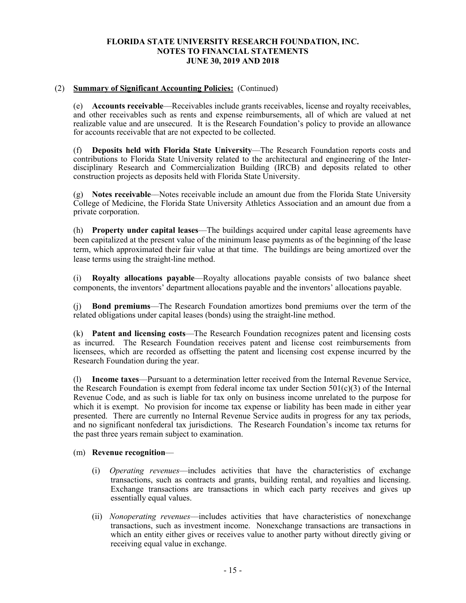## (2) **Summary of Significant Accounting Policies:** (Continued)

(e) **Accounts receivable**––Receivables include grants receivables, license and royalty receivables, and other receivables such as rents and expense reimbursements, all of which are valued at net realizable value and are unsecured. It is the Research Foundation's policy to provide an allowance for accounts receivable that are not expected to be collected.

(f) **Deposits held with Florida State University**––The Research Foundation reports costs and contributions to Florida State University related to the architectural and engineering of the Interdisciplinary Research and Commercialization Building (IRCB) and deposits related to other construction projects as deposits held with Florida State University.

(g) **Notes receivable**––Notes receivable include an amount due from the Florida State University College of Medicine, the Florida State University Athletics Association and an amount due from a private corporation.

(h) **Property under capital leases**––The buildings acquired under capital lease agreements have been capitalized at the present value of the minimum lease payments as of the beginning of the lease term, which approximated their fair value at that time. The buildings are being amortized over the lease terms using the straight-line method.

(i) **Royalty allocations payable**––Royalty allocations payable consists of two balance sheet components, the inventors' department allocations payable and the inventors' allocations payable.

(j) **Bond premiums**––The Research Foundation amortizes bond premiums over the term of the related obligations under capital leases (bonds) using the straight-line method.

(k) **Patent and licensing costs**––The Research Foundation recognizes patent and licensing costs as incurred. The Research Foundation receives patent and license cost reimbursements from licensees, which are recorded as offsetting the patent and licensing cost expense incurred by the Research Foundation during the year.

(l) **Income taxes**––Pursuant to a determination letter received from the Internal Revenue Service, the Research Foundation is exempt from federal income tax under Section  $501(c)(3)$  of the Internal Revenue Code, and as such is liable for tax only on business income unrelated to the purpose for which it is exempt. No provision for income tax expense or liability has been made in either year presented. There are currently no Internal Revenue Service audits in progress for any tax periods, and no significant nonfederal tax jurisdictions. The Research Foundation's income tax returns for the past three years remain subject to examination.

## (m) **Revenue recognition**––

- (i) *Operating revenues*––includes activities that have the characteristics of exchange transactions, such as contracts and grants, building rental, and royalties and licensing. Exchange transactions are transactions in which each party receives and gives up essentially equal values.
- (ii) *Nonoperating revenues*––includes activities that have characteristics of nonexchange transactions, such as investment income. Nonexchange transactions are transactions in which an entity either gives or receives value to another party without directly giving or receiving equal value in exchange.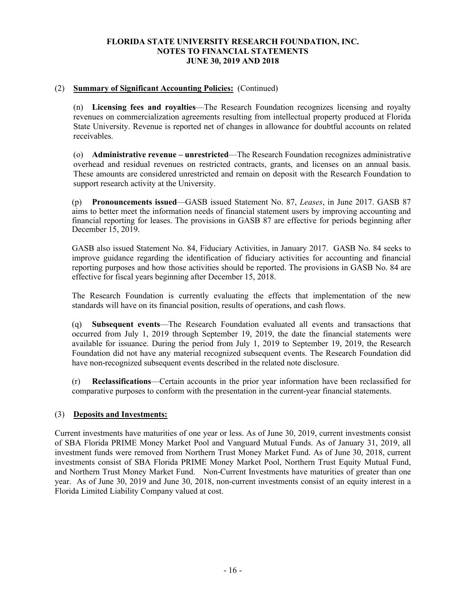# (2) **Summary of Significant Accounting Policies:** (Continued)

(n) **Licensing fees and royalties**––The Research Foundation recognizes licensing and royalty revenues on commercialization agreements resulting from intellectual property produced at Florida State University. Revenue is reported net of changes in allowance for doubtful accounts on related receivables.

(o) **Administrative revenue – unrestricted**––The Research Foundation recognizes administrative overhead and residual revenues on restricted contracts, grants, and licenses on an annual basis. These amounts are considered unrestricted and remain on deposit with the Research Foundation to support research activity at the University.

(p) **Pronouncements issued**––GASB issued Statement No. 87, *Leases*, in June 2017. GASB 87 aims to better meet the information needs of financial statement users by improving accounting and financial reporting for leases. The provisions in GASB 87 are effective for periods beginning after December 15, 2019.

GASB also issued Statement No. 84, Fiduciary Activities, in January 2017. GASB No. 84 seeks to improve guidance regarding the identification of fiduciary activities for accounting and financial reporting purposes and how those activities should be reported. The provisions in GASB No. 84 are effective for fiscal years beginning after December 15, 2018.

The Research Foundation is currently evaluating the effects that implementation of the new standards will have on its financial position, results of operations, and cash flows.

(q) **Subsequent events**––The Research Foundation evaluated all events and transactions that occurred from July 1, 2019 through September 19, 2019, the date the financial statements were available for issuance. During the period from July 1, 2019 to September 19, 2019, the Research Foundation did not have any material recognized subsequent events. The Research Foundation did have non-recognized subsequent events described in the related note disclosure.

(r) **Reclassifications**––Certain accounts in the prior year information have been reclassified for comparative purposes to conform with the presentation in the current-year financial statements.

## (3) **Deposits and Investments:**

Current investments have maturities of one year or less. As of June 30, 2019, current investments consist of SBA Florida PRIME Money Market Pool and Vanguard Mutual Funds. As of January 31, 2019, all investment funds were removed from Northern Trust Money Market Fund. As of June 30, 2018, current investments consist of SBA Florida PRIME Money Market Pool, Northern Trust Equity Mutual Fund, and Northern Trust Money Market Fund. Non-Current Investments have maturities of greater than one year. As of June 30, 2019 and June 30, 2018, non-current investments consist of an equity interest in a Florida Limited Liability Company valued at cost.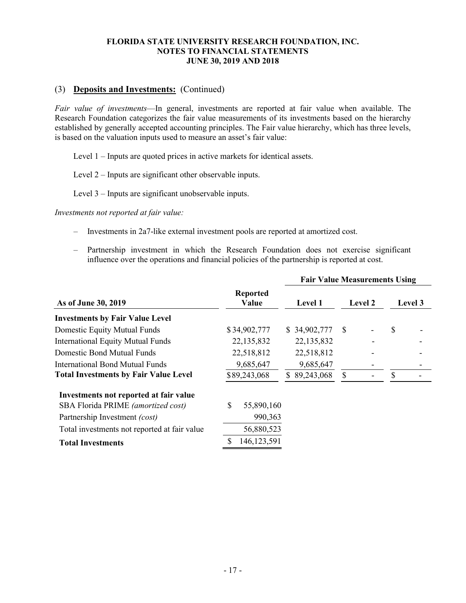# (3) **Deposits and Investments:** (Continued)

*Fair value of investments*––In general, investments are reported at fair value when available. The Research Foundation categorizes the fair value measurements of its investments based on the hierarchy established by generally accepted accounting principles. The Fair value hierarchy, which has three levels, is based on the valuation inputs used to measure an asset's fair value:

Level 1 – Inputs are quoted prices in active markets for identical assets.

Level 2 – Inputs are significant other observable inputs.

Level 3 – Inputs are significant unobservable inputs.

*Investments not reported at fair value:*

- Investments in 2a7-like external investment pools are reported at amortized cost.
- Partnership investment in which the Research Foundation does not exercise significant influence over the operations and financial policies of the partnership is reported at cost.

|                                              |                          |                | <b>Fair Value Measurements Using</b> |  |         |  |  |  |
|----------------------------------------------|--------------------------|----------------|--------------------------------------|--|---------|--|--|--|
| As of June 30, 2019                          | <b>Reported</b><br>Value | <b>Level 1</b> | <b>Level 2</b>                       |  | Level 3 |  |  |  |
| <b>Investments by Fair Value Level</b>       |                          |                |                                      |  |         |  |  |  |
| Domestic Equity Mutual Funds                 | \$34,902,777             | \$34,902,777   | -S                                   |  | \$      |  |  |  |
| <b>International Equity Mutual Funds</b>     | 22,135,832               | 22,135,832     |                                      |  |         |  |  |  |
| Domestic Bond Mutual Funds                   | 22,518,812               | 22,518,812     |                                      |  |         |  |  |  |
| International Bond Mutual Funds              | 9,685,647                | 9,685,647      |                                      |  |         |  |  |  |
| <b>Total Investments by Fair Value Level</b> | \$89,243,068             | \$89,243,068   | \$                                   |  | \$      |  |  |  |
| Investments not reported at fair value       |                          |                |                                      |  |         |  |  |  |
| SBA Florida PRIME (amortized cost)           | S<br>55,890,160          |                |                                      |  |         |  |  |  |
| Partnership Investment (cost)                | 990,363                  |                |                                      |  |         |  |  |  |
| Total investments not reported at fair value | 56,880,523               |                |                                      |  |         |  |  |  |
| <b>Total Investments</b>                     | 146, 123, 591            |                |                                      |  |         |  |  |  |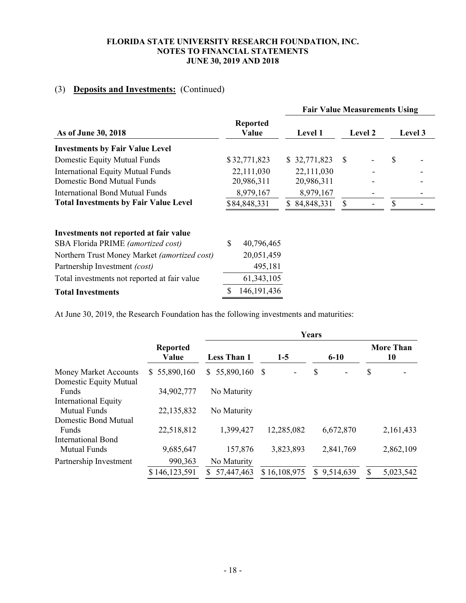# (3) **Deposits and Investments:** (Continued)

|                                              |                          | <b>Fair Value Measurements Using</b> |               |                          |    |         |  |
|----------------------------------------------|--------------------------|--------------------------------------|---------------|--------------------------|----|---------|--|
| As of June 30, 2018                          | <b>Reported</b><br>Value | Level 1                              | Level 2       |                          |    | Level 3 |  |
| <b>Investments by Fair Value Level</b>       |                          |                                      |               |                          |    |         |  |
| Domestic Equity Mutual Funds                 | \$32,771,823             | \$32,771,823                         | <sup>\$</sup> |                          | \$ |         |  |
| <b>International Equity Mutual Funds</b>     | 22,111,030               | 22,111,030                           |               |                          |    |         |  |
| Domestic Bond Mutual Funds                   | 20,986,311               | 20,986,311                           |               |                          |    |         |  |
| <b>International Bond Mutual Funds</b>       | 8,979,167                | 8,979,167                            |               | $\overline{\phantom{0}}$ |    |         |  |
| <b>Total Investments by Fair Value Level</b> | \$84,848,331             | \$84,848,331                         | S             |                          | \$ |         |  |
| Investments not reported at fair value       |                          |                                      |               |                          |    |         |  |
| SBA Florida PRIME (amortized cost)           | \$<br>40,796,465         |                                      |               |                          |    |         |  |
| Northern Trust Money Market (amortized cost) | 20,051,459               |                                      |               |                          |    |         |  |
| Partnership Investment (cost)                | 495,181                  |                                      |               |                          |    |         |  |
| Total investments not reported at fair value | 61,343,105               |                                      |               |                          |    |         |  |
| <b>Total Investments</b>                     | \$<br>146, 191, 436      |                                      |               |                          |    |         |  |

At June 30, 2019, the Research Foundation has the following investments and maturities:

|                             | Years                    |                     |              |             |    |                        |  |
|-----------------------------|--------------------------|---------------------|--------------|-------------|----|------------------------|--|
|                             | <b>Reported</b><br>Value | <b>Less Than 1</b>  | $1-5$        | $6 - 10$    |    | <b>More Than</b><br>10 |  |
| Money Market Accounts       | \$55,890,160             | 55,890,160 \$<br>S. |              | \$          | \$ |                        |  |
| Domestic Equity Mutual      |                          |                     |              |             |    |                        |  |
| Funds                       | 34,902,777               | No Maturity         |              |             |    |                        |  |
| <b>International Equity</b> |                          |                     |              |             |    |                        |  |
| <b>Mutual Funds</b>         | 22,135,832               | No Maturity         |              |             |    |                        |  |
| Domestic Bond Mutual        |                          |                     |              |             |    |                        |  |
| Funds                       | 22,518,812               | 1,399,427           | 12,285,082   | 6,672,870   |    | 2,161,433              |  |
| <b>International Bond</b>   |                          |                     |              |             |    |                        |  |
| <b>Mutual Funds</b>         | 9,685,647                | 157,876             | 3,823,893    | 2,841,769   |    | 2,862,109              |  |
| Partnership Investment      | 990,363                  | No Maturity         |              |             |    |                        |  |
|                             | \$146,123,591            | 57,447,463<br>S.    | \$16,108,975 | \$9,514,639 | \$ | 5,023,542              |  |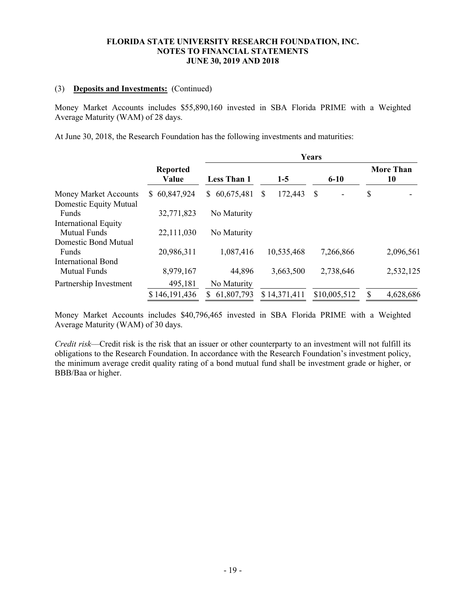## (3) **Deposits and Investments:** (Continued)

Money Market Accounts includes \$55,890,160 invested in SBA Florida PRIME with a Weighted Average Maturity (WAM) of 28 days.

At June 30, 2018, the Research Foundation has the following investments and maturities:

|                                                        |                          | Years                       |              |              |                        |           |  |  |
|--------------------------------------------------------|--------------------------|-----------------------------|--------------|--------------|------------------------|-----------|--|--|
|                                                        | <b>Reported</b><br>Value | <b>Less Than 1</b><br>$1-5$ |              | $6 - 10$     | <b>More Than</b><br>10 |           |  |  |
| <b>Money Market Accounts</b><br>Domestic Equity Mutual | 60,847,924<br>S.         | 60,675,481<br>S.            | 172,443<br>S | S            | \$                     |           |  |  |
| Funds                                                  | 32,771,823               | No Maturity                 |              |              |                        |           |  |  |
| <b>International Equity</b><br><b>Mutual Funds</b>     | 22,111,030               | No Maturity                 |              |              |                        |           |  |  |
| Domestic Bond Mutual<br>Funds                          | 20,986,311               | 1,087,416                   | 10,535,468   | 7,266,866    |                        | 2,096,561 |  |  |
| <b>International Bond</b><br><b>Mutual Funds</b>       | 8,979,167                | 44,896                      | 3,663,500    | 2,738,646    |                        | 2,532,125 |  |  |
| Partnership Investment                                 | 495,181                  | No Maturity                 |              |              |                        |           |  |  |
|                                                        | \$146,191,436            | 61,807,793<br>S.            | \$14,371,411 | \$10,005,512 | \$                     | 4,628,686 |  |  |

Money Market Accounts includes \$40,796,465 invested in SBA Florida PRIME with a Weighted Average Maturity (WAM) of 30 days.

*Credit risk*––Credit risk is the risk that an issuer or other counterparty to an investment will not fulfill its obligations to the Research Foundation. In accordance with the Research Foundation's investment policy, the minimum average credit quality rating of a bond mutual fund shall be investment grade or higher, or BBB/Baa or higher.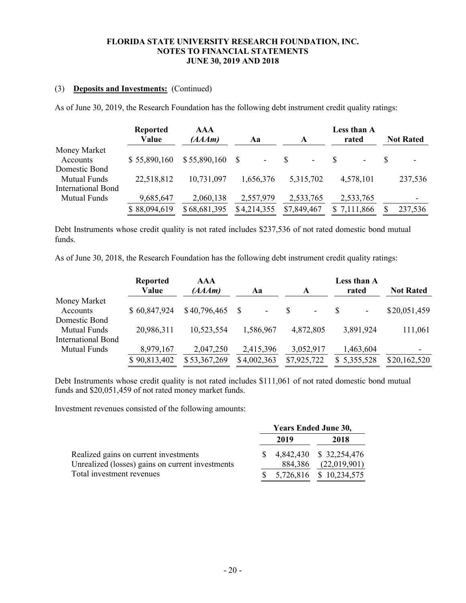# (3) **Deposits and Investments:** (Continued)

As of June 30, 2019, the Research Foundation has the following debt instrument credit quality ratings:

|                           | <b>Reported</b><br>Value | AAA<br>(AAAm) | Aa          | A                       | Less than A<br>rated | <b>Not Rated</b>         |
|---------------------------|--------------------------|---------------|-------------|-------------------------|----------------------|--------------------------|
| Money Market              |                          |               |             |                         |                      |                          |
| Accounts                  | \$55,890,160             | \$55,890,160  | - \$        | <sup>\$</sup><br>$\sim$ | S                    | \$                       |
| Domestic Bond             |                          |               |             |                         |                      |                          |
| Mutual Funds              | 22,518,812               | 10,731,097    | 1,656,376   | 5,315,702               | 4,578,101            | 237,536                  |
| <b>International Bond</b> |                          |               |             |                         |                      |                          |
| <b>Mutual Funds</b>       | 9,685,647                | 2,060,138     | 2,557,979   | 2,533,765               | 2,533,765            | $\overline{\phantom{0}}$ |
|                           | \$88,094,619             | \$68,681,395  | \$4,214,355 | \$7,849,467             | \$7,111,866          | 237,536                  |

Debt Instruments whose credit quality is not rated includes \$237,536 of not rated domestic bond mutual funds.

As of June 30, 2018, the Research Foundation has the following debt instrument credit quality ratings:

| <b>Reported</b><br>Value |              | AAA<br>(AAAm) | Aa                               | A                              | Less than A<br>rated                      | <b>Not Rated</b> |
|--------------------------|--------------|---------------|----------------------------------|--------------------------------|-------------------------------------------|------------------|
| Money Market             |              |               |                                  |                                |                                           |                  |
| Accounts                 | \$60,847,924 | \$40,796,465  | - \$<br>$\overline{\phantom{a}}$ | \$<br>$\overline{\phantom{a}}$ | <sup>\$</sup><br>$\overline{\phantom{a}}$ | \$20,051,459     |
| Domestic Bond            |              |               |                                  |                                |                                           |                  |
| <b>Mutual Funds</b>      | 20,986,311   | 10,523,554    | 1,586,967                        | 4,872,805                      | 3,891,924                                 | 111,061          |
| International Bond       |              |               |                                  |                                |                                           |                  |
| <b>Mutual Funds</b>      | 8,979,167    | 2,047,250     | 2,415,396                        | 3,052,917                      | 1,463,604                                 | ۰                |
|                          | \$90,813,402 | \$53,367,269  | \$4,002,363                      | \$7,925,722                    | \$5,355,528                               | \$20,162,520     |

Debt Instruments whose credit quality is not rated includes \$111,061 of not rated domestic bond mutual funds and \$20,051,459 of not rated money market funds.

Investment revenues consisted of the following amounts:

|                                                  |      | <b>Years Ended June 30,</b> |
|--------------------------------------------------|------|-----------------------------|
|                                                  | 2019 | 2018                        |
| Realized gains on current investments            |      | $$4,842,430$ $$32,254,476$  |
| Unrealized (losses) gains on current investments |      | 884,386 (22,019,901)        |
| Total investment revenues                        |      | $$5,726,816$ $$10,234,575$  |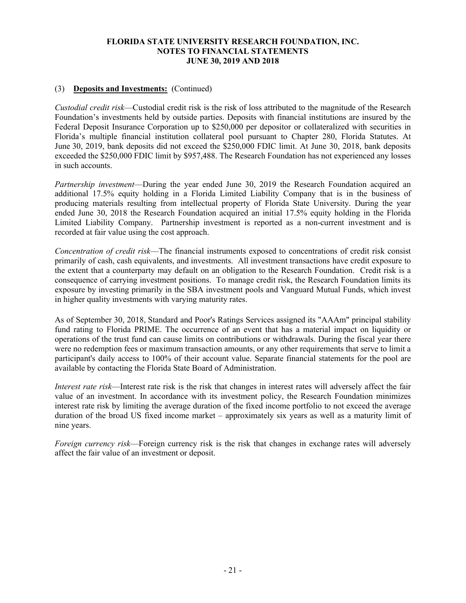# (3) **Deposits and Investments:** (Continued)

*Custodial credit risk*––Custodial credit risk is the risk of loss attributed to the magnitude of the Research Foundation's investments held by outside parties. Deposits with financial institutions are insured by the Federal Deposit Insurance Corporation up to \$250,000 per depositor or collateralized with securities in Florida's multiple financial institution collateral pool pursuant to Chapter 280, Florida Statutes. At June 30, 2019, bank deposits did not exceed the \$250,000 FDIC limit. At June 30, 2018, bank deposits exceeded the \$250,000 FDIC limit by \$957,488. The Research Foundation has not experienced any losses in such accounts.

*Partnership investment*––During the year ended June 30, 2019 the Research Foundation acquired an additional 17.5% equity holding in a Florida Limited Liability Company that is in the business of producing materials resulting from intellectual property of Florida State University. During the year ended June 30, 2018 the Research Foundation acquired an initial 17.5% equity holding in the Florida Limited Liability Company. Partnership investment is reported as a non-current investment and is recorded at fair value using the cost approach.

*Concentration of credit risk––*The financial instruments exposed to concentrations of credit risk consist primarily of cash, cash equivalents, and investments. All investment transactions have credit exposure to the extent that a counterparty may default on an obligation to the Research Foundation. Credit risk is a consequence of carrying investment positions. To manage credit risk, the Research Foundation limits its exposure by investing primarily in the SBA investment pools and Vanguard Mutual Funds, which invest in higher quality investments with varying maturity rates.

As of September 30, 2018, Standard and Poor's Ratings Services assigned its "AAAm" principal stability fund rating to Florida PRIME. The occurrence of an event that has a material impact on liquidity or operations of the trust fund can cause limits on contributions or withdrawals. During the fiscal year there were no redemption fees or maximum transaction amounts, or any other requirements that serve to limit a participant's daily access to 100% of their account value. Separate financial statements for the pool are available by contacting the Florida State Board of Administration.

*Interest rate risk*––Interest rate risk is the risk that changes in interest rates will adversely affect the fair value of an investment. In accordance with its investment policy, the Research Foundation minimizes interest rate risk by limiting the average duration of the fixed income portfolio to not exceed the average duration of the broad US fixed income market – approximately six years as well as a maturity limit of nine years.

*Foreign currency risk*––Foreign currency risk is the risk that changes in exchange rates will adversely affect the fair value of an investment or deposit.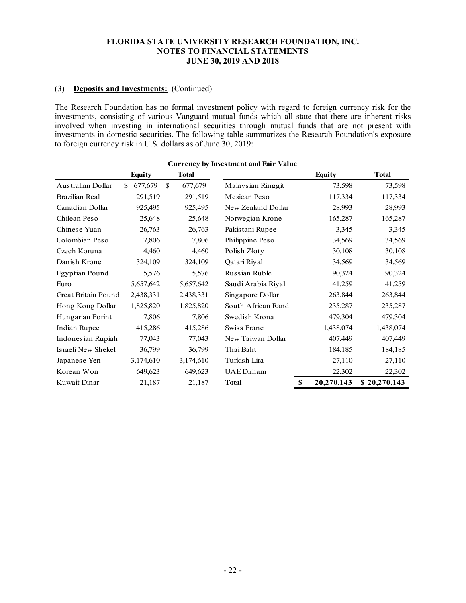# (3) **Deposits and Investments:** (Continued)

The Research Foundation has no formal investment policy with regard to foreign currency risk for the investments, consisting of various Vanguard mutual funds which all state that there are inherent risks involved when investing in international securities through mutual funds that are not present with investments in domestic securities. The following table summarizes the Research Foundation's exposure to foreign currency risk in U.S. dollars as of June 30, 2019:

|                     | <b>Equity</b>  | <b>Total</b>  |           |                    | <b>Equity</b>    | <b>Total</b> |
|---------------------|----------------|---------------|-----------|--------------------|------------------|--------------|
| Australian Dollar   | 677,679<br>\$. | <sup>\$</sup> | 677,679   | Malaysian Ringgit  | 73,598           | 73,598       |
| Brazilian Real      | 291,519        |               | 291,519   | Mexican Peso       | 117,334          | 117,334      |
| Canadian Dollar     | 925,495        |               | 925,495   | New Zealand Dollar | 28,993           | 28,993       |
| Chilean Peso        | 25,648         |               | 25,648    | Norwegian Krone    | 165,287          | 165,287      |
| Chinese Yuan        | 26,763         |               | 26,763    | Pakistani Rupee    | 3,345            | 3,345        |
| Colombian Peso      | 7,806          |               | 7,806     | Philippine Peso    | 34,569           | 34,569       |
| Czech Koruna        | 4,460          |               | 4,460     | Polish Złoty       | 30,108           | 30,108       |
| Danish Krone        | 324,109        |               | 324,109   | Qatari Riyal       | 34,569           | 34,569       |
| Egyptian Pound      | 5,576          |               | 5,576     | Russian Ruble      | 90,324           | 90,324       |
| Euro                | 5,657,642      |               | 5,657,642 | Saudi Arabia Riyal | 41,259           | 41,259       |
| Great Britain Pound | 2,438,331      |               | 2,438,331 | Singapore Dollar   | 263,844          | 263,844      |
| Hong Kong Dollar    | 1,825,820      |               | 1,825,820 | South African Rand | 235,287          | 235,287      |
| Hungarian Forint    | 7,806          |               | 7,806     | Swedish Krona      | 479,304          | 479,304      |
| Indian Rupee        | 415,286        |               | 415,286   | Swiss Franc        | 1,438,074        | 1,438,074    |
| Indonesian Rupiah   | 77,043         |               | 77,043    | New Taiwan Dollar  | 407,449          | 407,449      |
| Israeli New Shekel  | 36,799         |               | 36,799    | Thai Baht          | 184,185          | 184,185      |
| Japanese Yen        | 3,174,610      |               | 3,174,610 | Turkish Lira       | 27,110           | 27,110       |
| Korean Won          | 649,623        |               | 649,623   | UAE Dirham         | 22,302           | 22,302       |
| Kuwait Dinar        | 21,187         |               | 21,187    | <b>Total</b>       | \$<br>20,270,143 | \$20,270,143 |

#### **Currency by Investment and Fair Value**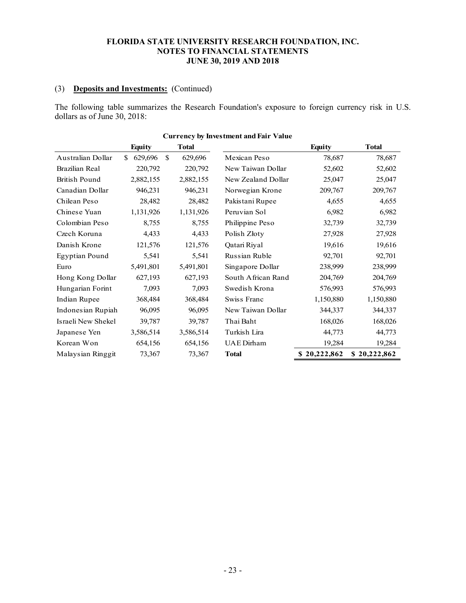# (3) **Deposits and Investments:** (Continued)

The following table summarizes the Research Foundation's exposure to foreign currency risk in U.S. dollars as of June 30, 2018:

| $C$ un che $\mathbf{v}$ by moesument and rain $\mathbf{v}$ and |               |     |              |                    |               |              |  |  |  |
|----------------------------------------------------------------|---------------|-----|--------------|--------------------|---------------|--------------|--|--|--|
|                                                                | Equity        |     | <b>Total</b> |                    | <b>Equity</b> | <b>Total</b> |  |  |  |
| Australian Dollar                                              | \$<br>629,696 | \$. | 629,696      | Mexican Peso       | 78,687        | 78,687       |  |  |  |
| Brazilian Real                                                 | 220,792       |     | 220,792      | New Taiwan Dollar  | 52,602        | 52,602       |  |  |  |
| <b>British Pound</b>                                           | 2,882,155     |     | 2,882,155    | New Zealand Dollar | 25,047        | 25,047       |  |  |  |
| Canadian Dollar                                                | 946,231       |     | 946,231      | Norwegian Krone    | 209,767       | 209,767      |  |  |  |
| Chilean Peso                                                   | 28,482        |     | 28,482       | Pakistani Rupee    | 4,655         | 4,655        |  |  |  |
| Chinese Yuan                                                   | 1,131,926     |     | 1,131,926    | Peruvian Sol       | 6,982         | 6,982        |  |  |  |
| Colombian Peso                                                 | 8,755         |     | 8,755        | Philippine Peso    | 32,739        | 32,739       |  |  |  |
| Czech Koruna                                                   | 4,433         |     | 4,433        | Polish Złoty       | 27,928        | 27,928       |  |  |  |
| Danish Krone                                                   | 121,576       |     | 121,576      | Qatari Riyal       | 19,616        | 19,616       |  |  |  |
| Egyptian Pound                                                 | 5,541         |     | 5,541        | Russian Ruble      | 92,701        | 92,701       |  |  |  |
| Euro                                                           | 5,491,801     |     | 5,491,801    | Singapore Dollar   | 238,999       | 238,999      |  |  |  |
| Hong Kong Dollar                                               | 627,193       |     | 627,193      | South African Rand | 204,769       | 204,769      |  |  |  |
| Hungarian Forint                                               | 7,093         |     | 7,093        | Swedish Krona      | 576,993       | 576,993      |  |  |  |
| Indian Rupee                                                   | 368,484       |     | 368,484      | Swiss Franc        | 1,150,880     | 1,150,880    |  |  |  |
| Indonesian Rupiah                                              | 96,095        |     | 96,095       | New Taiwan Dollar  | 344,337       | 344,337      |  |  |  |
| Israeli New Shekel                                             | 39,787        |     | 39,787       | Thai Baht          | 168,026       | 168,026      |  |  |  |
| Japanese Yen                                                   | 3,586,514     |     | 3,586,514    | Turkish Lira       | 44,773        | 44,773       |  |  |  |
| Korean Won                                                     | 654,156       |     | 654,156      | <b>UAE</b> Dirham  | 19,284        | 19,284       |  |  |  |
| Malaysian Ringgit                                              | 73,367        |     | 73,367       | <b>Total</b>       | \$20,222,862  | \$20,222,862 |  |  |  |

#### **Currency by Investment and Fair Value**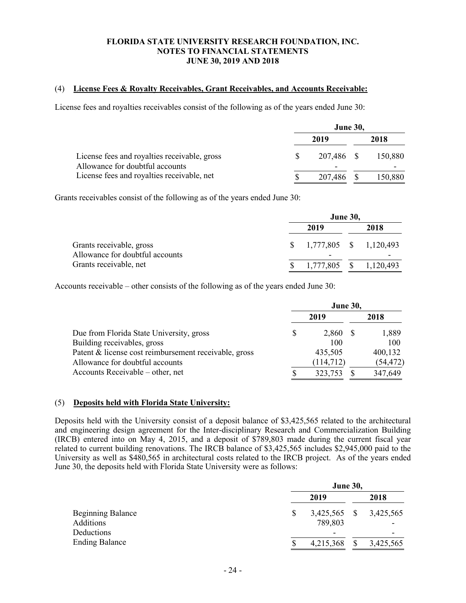## (4) **License Fees & Royalty Receivables, Grant Receivables, and Accounts Receivable:**

License fees and royalties receivables consist of the following as of the years ended June 30:

|                                                                                 | <b>June 30,</b> |                    |
|---------------------------------------------------------------------------------|-----------------|--------------------|
|                                                                                 | 2019            | 2018               |
| License fees and royalties receivable, gross<br>Allowance for doubtful accounts |                 | 207,486 \$ 150,880 |
| License fees and royalties receivable, net                                      | 207,486 \$      | 150,880            |

Grants receivables consist of the following as of the years ended June 30:

|                                                             | <b>June 30,</b>                  |  |      |
|-------------------------------------------------------------|----------------------------------|--|------|
|                                                             | 2019                             |  | 2018 |
| Grants receivable, gross<br>Allowance for doubtful accounts | $\frac{1}{277,805}$ \$ 1,120,493 |  |      |
| Grants receivable, net                                      | $$1,777,805$ $$1,120,493$        |  |      |

Accounts receivable – other consists of the following as of the years ended June 30:

|                                                       |   | <b>June 30,</b> |           |
|-------------------------------------------------------|---|-----------------|-----------|
|                                                       |   | 2019            | 2018      |
| Due from Florida State University, gross              | S | 2,860           | 1,889     |
| Building receivables, gross                           |   | 100             | 100       |
| Patent & license cost reimbursement receivable, gross |   | 435,505         | 400,132   |
| Allowance for doubtful accounts                       |   | (114, 712)      | (54, 472) |
| Accounts Receivable – other, net                      |   | 323,753         | 347,649   |

## (5) **Deposits held with Florida State University:**

Deposits held with the University consist of a deposit balance of \$3,425,565 related to the architectural and engineering design agreement for the Inter-disciplinary Research and Commercialization Building (IRCB) entered into on May 4, 2015, and a deposit of \$789,803 made during the current fiscal year related to current building renovations. The IRCB balance of \$3,425,565 includes \$2,945,000 paid to the University as well as \$480,565 in architectural costs related to the IRCB project. As of the years ended June 30, the deposits held with Florida State University were as follows:

|                          |    | <b>June 30,</b>          |  |                        |  |  |
|--------------------------|----|--------------------------|--|------------------------|--|--|
|                          |    | 2019                     |  | 2018                   |  |  |
| <b>Beginning Balance</b> | \$ |                          |  | 3,425,565 \$ 3,425,565 |  |  |
| Additions                |    | 789,803                  |  |                        |  |  |
| Deductions               |    | $\overline{\phantom{0}}$ |  |                        |  |  |
| <b>Ending Balance</b>    | S  | 4,215,368                |  | 3,425,565              |  |  |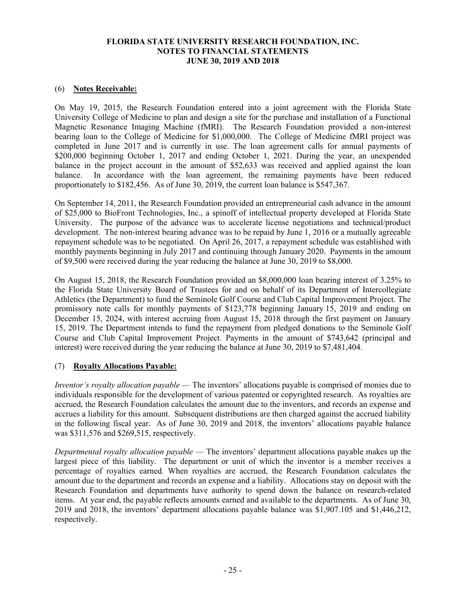# (6) **Notes Receivable:**

On May 19, 2015, the Research Foundation entered into a joint agreement with the Florida State University College of Medicine to plan and design a site for the purchase and installation of a Functional Magnetic Resonance Imaging Machine (fMRI). The Research Foundation provided a non-interest bearing loan to the College of Medicine for \$1,000,000. The College of Medicine fMRI project was completed in June 2017 and is currently in use. The loan agreement calls for annual payments of \$200,000 beginning October 1, 2017 and ending October 1, 2021. During the year, an unexpended balance in the project account in the amount of \$52,633 was received and applied against the loan balance. In accordance with the loan agreement, the remaining payments have been reduced proportionately to \$182,456. As of June 30, 2019, the current loan balance is \$547,367.

On September 14, 2011, the Research Foundation provided an entrepreneurial cash advance in the amount of \$25,000 to BioFront Technologies, Inc., a spinoff of intellectual property developed at Florida State University. The purpose of the advance was to accelerate license negotiations and technical/product development. The non-interest bearing advance was to be repaid by June 1, 2016 or a mutually agreeable repayment schedule was to be negotiated. On April 26, 2017, a repayment schedule was established with monthly payments beginning in July 2017 and continuing through January 2020. Payments in the amount of \$9,500 were received during the year reducing the balance at June 30, 2019 to \$8,000.

On August 15, 2018, the Research Foundation provided an \$8,000,000 loan bearing interest of 3.25% to the Florida State University Board of Trustees for and on behalf of its Department of Intercollegiate Athletics (the Department) to fund the Seminole Golf Course and Club Capital Improvement Project. The promissory note calls for monthly payments of \$123,778 beginning January 15, 2019 and ending on December 15, 2024, with interest accruing from August 15, 2018 through the first payment on January 15, 2019. The Department intends to fund the repayment from pledged donations to the Seminole Golf Course and Club Capital Improvement Project. Payments in the amount of \$743,642 (principal and interest) were received during the year reducing the balance at June 30, 2019 to \$7,481,404.

# (7) **Royalty Allocations Payable:**

*Inventor's royalty allocation payable* — The inventors' allocations payable is comprised of monies due to individuals responsible for the development of various patented or copyrighted research. As royalties are accrued, the Research Foundation calculates the amount due to the inventors, and records an expense and accrues a liability for this amount. Subsequent distributions are then charged against the accrued liability in the following fiscal year. As of June 30, 2019 and 2018, the inventors' allocations payable balance was \$311,576 and \$269,515, respectively.

*Departmental royalty allocation payable ––* The inventors' department allocations payable makes up the largest piece of this liability. The department or unit of which the inventor is a member receives a percentage of royalties earned. When royalties are accrued, the Research Foundation calculates the amount due to the department and records an expense and a liability. Allocations stay on deposit with the Research Foundation and departments have authority to spend down the balance on research-related items. At year end, the payable reflects amounts earned and available to the departments. As of June 30, 2019 and 2018, the inventors' department allocations payable balance was \$1,907.105 and \$1,446,212, respectively.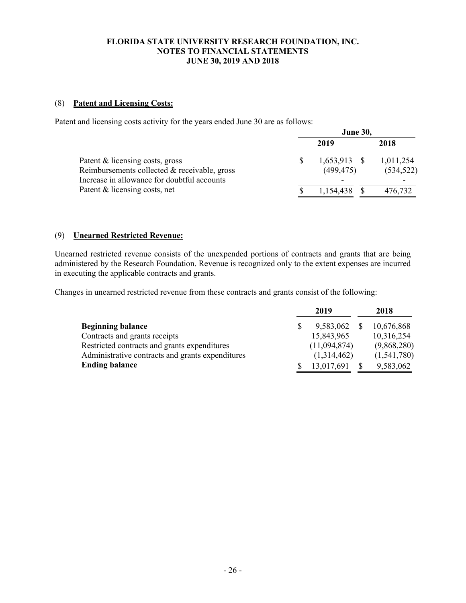## (8) **Patent and Licensing Costs:**

Patent and licensing costs activity for the years ended June 30 are as follows:

|                                                                                 |                              | <b>June 30,</b> |                         |
|---------------------------------------------------------------------------------|------------------------------|-----------------|-------------------------|
|                                                                                 | 2019                         |                 | 2018                    |
| Patent & licensing costs, gross<br>Reimbursements collected & receivable, gross | $1,653,913$ \$<br>(499, 475) |                 | 1,011,254<br>(534, 522) |
| Increase in allowance for doubtful accounts                                     | $\overline{\phantom{0}}$     |                 |                         |
| Patent & licensing costs, net                                                   | 1,154,438                    |                 | 476,732                 |

## (9) **Unearned Restricted Revenue:**

Unearned restricted revenue consists of the unexpended portions of contracts and grants that are being administered by the Research Foundation. Revenue is recognized only to the extent expenses are incurred in executing the applicable contracts and grants.

Changes in unearned restricted revenue from these contracts and grants consist of the following:

|                                                  | 2019         | 2018        |
|--------------------------------------------------|--------------|-------------|
| <b>Beginning balance</b>                         | 9,583,062    | 10,676,868  |
| Contracts and grants receipts                    | 15,843,965   | 10,316,254  |
| Restricted contracts and grants expenditures     | (11,094,874) | (9,868,280) |
| Administrative contracts and grants expenditures | (1,314,462)  | (1,541,780) |
| <b>Ending balance</b>                            | 13,017,691   | 9,583,062   |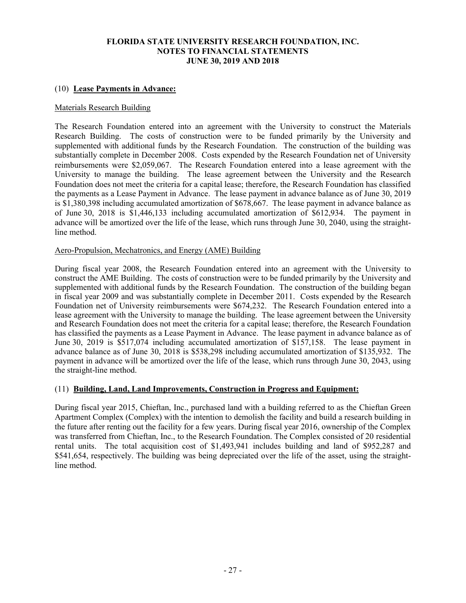## (10) **Lease Payments in Advance:**

#### Materials Research Building

The Research Foundation entered into an agreement with the University to construct the Materials Research Building. The costs of construction were to be funded primarily by the University and supplemented with additional funds by the Research Foundation. The construction of the building was substantially complete in December 2008. Costs expended by the Research Foundation net of University reimbursements were \$2,059,067. The Research Foundation entered into a lease agreement with the University to manage the building. The lease agreement between the University and the Research Foundation does not meet the criteria for a capital lease; therefore, the Research Foundation has classified the payments as a Lease Payment in Advance. The lease payment in advance balance as of June 30, 2019 is \$1,380,398 including accumulated amortization of \$678,667. The lease payment in advance balance as of June 30, 2018 is \$1,446,133 including accumulated amortization of \$612,934. The payment in advance will be amortized over the life of the lease, which runs through June 30, 2040, using the straightline method.

## Aero-Propulsion, Mechatronics, and Energy (AME) Building

During fiscal year 2008, the Research Foundation entered into an agreement with the University to construct the AME Building. The costs of construction were to be funded primarily by the University and supplemented with additional funds by the Research Foundation. The construction of the building began in fiscal year 2009 and was substantially complete in December 2011. Costs expended by the Research Foundation net of University reimbursements were \$674,232. The Research Foundation entered into a lease agreement with the University to manage the building. The lease agreement between the University and Research Foundation does not meet the criteria for a capital lease; therefore, the Research Foundation has classified the payments as a Lease Payment in Advance. The lease payment in advance balance as of June 30, 2019 is \$517,074 including accumulated amortization of \$157,158. The lease payment in advance balance as of June 30, 2018 is \$538,298 including accumulated amortization of \$135,932. The payment in advance will be amortized over the life of the lease, which runs through June 30, 2043, using the straight-line method.

## (11) **Building, Land, Land Improvements, Construction in Progress and Equipment:**

During fiscal year 2015, Chieftan, Inc., purchased land with a building referred to as the Chieftan Green Apartment Complex (Complex) with the intention to demolish the facility and build a research building in the future after renting out the facility for a few years. During fiscal year 2016, ownership of the Complex was transferred from Chieftan, Inc., to the Research Foundation. The Complex consisted of 20 residential rental units. The total acquisition cost of \$1,493,941 includes building and land of \$952,287 and \$541,654, respectively. The building was being depreciated over the life of the asset, using the straightline method.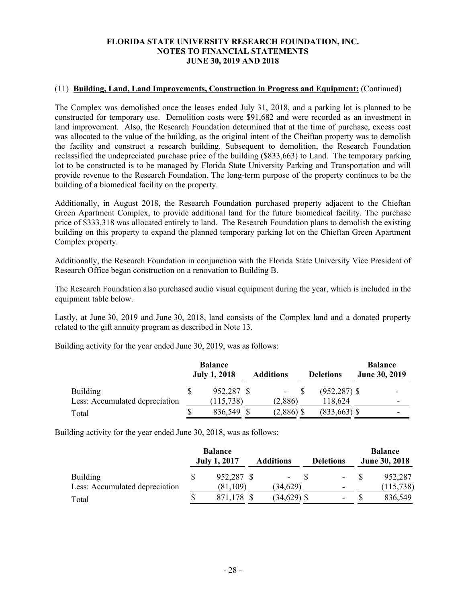## (11) **Building, Land, Land Improvements, Construction in Progress and Equipment:** (Continued)

The Complex was demolished once the leases ended July 31, 2018, and a parking lot is planned to be constructed for temporary use. Demolition costs were \$91,682 and were recorded as an investment in land improvement. Also, the Research Foundation determined that at the time of purchase, excess cost was allocated to the value of the building, as the original intent of the Cheiftan property was to demolish the facility and construct a research building. Subsequent to demolition, the Research Foundation reclassified the undepreciated purchase price of the building (\$833,663) to Land. The temporary parking lot to be constructed is to be managed by Florida State University Parking and Transportation and will provide revenue to the Research Foundation. The long-term purpose of the property continues to be the building of a biomedical facility on the property.

Additionally, in August 2018, the Research Foundation purchased property adjacent to the Chieftan Green Apartment Complex, to provide additional land for the future biomedical facility. The purchase price of \$333,318 was allocated entirely to land. The Research Foundation plans to demolish the existing building on this property to expand the planned temporary parking lot on the Chieftan Green Apartment Complex property.

Additionally, the Research Foundation in conjunction with the Florida State University Vice President of Research Office began construction on a renovation to Building B.

The Research Foundation also purchased audio visual equipment during the year, which is included in the equipment table below.

Lastly, at June 30, 2019 and June 30, 2018, land consists of the Complex land and a donated property related to the gift annuity program as described in Note 13.

Building activity for the year ended June 30, 2019, was as follows:

|                                | <b>Balance</b> |                     |  |                          |                  | <b>Balance</b> |   |
|--------------------------------|----------------|---------------------|--|--------------------------|------------------|----------------|---|
|                                |                | <b>July 1, 2018</b> |  | <b>Additions</b>         | <b>Deletions</b> | June 30, 2019  |   |
| <b>Building</b>                |                | 952,287 \$          |  | $\overline{\phantom{a}}$ | $(952, 287)$ \$  |                |   |
| Less: Accumulated depreciation |                | (115, 738)          |  | (2,886)                  | 118,624          |                | - |
| Total                          | S              | 836,549             |  | $(2,886)$ \$             | $(833,663)$ \$   |                |   |

Building activity for the year ended June 30, 2018, was as follows:

|                                | <b>Balance</b><br><b>July 1, 2017</b> | <b>Additions</b> |                          |  | <b>Deletions</b>         |  | <b>Balance</b><br>June 30, 2018 |
|--------------------------------|---------------------------------------|------------------|--------------------------|--|--------------------------|--|---------------------------------|
| Building                       | 952,287 \$                            |                  | $\overline{\phantom{a}}$ |  | -                        |  | 952,287                         |
| Less: Accumulated depreciation | (81, 109)                             |                  | (34,629)                 |  | $\overline{\phantom{0}}$ |  | (115, 738)                      |
| Total                          | 871,178                               |                  | $(34,629)$ \$            |  | $\overline{\phantom{a}}$ |  | 836,549                         |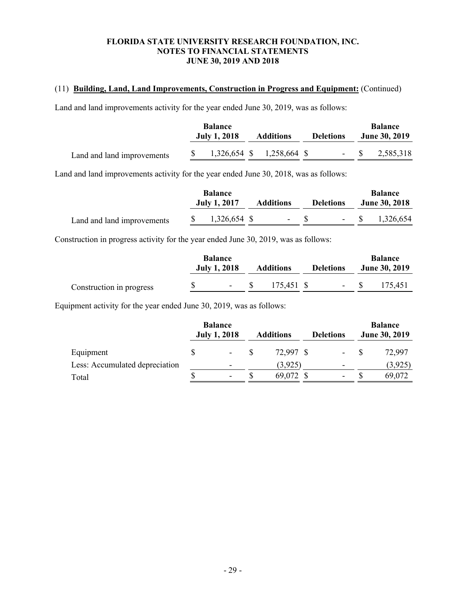# (11) **Building, Land, Land Improvements, Construction in Progress and Equipment:** (Continued)

Land and land improvements activity for the year ended June 30, 2019, was as follows:

|                            | <b>Balance</b><br><b>July 1, 2018</b> |  | <b>Additions</b> |                           | <b>Deletions</b> |       | <b>Balance</b><br><b>June 30, 2019</b> |
|----------------------------|---------------------------------------|--|------------------|---------------------------|------------------|-------|----------------------------------------|
| Land and land improvements |                                       |  |                  | 1,326,654 \$ 1,258,664 \$ |                  | $-$ S | 2,585,318                              |

Land and land improvements activity for the year ended June 30, 2018, was as follows:

|                            | <b>Balance</b><br><b>July 1, 2017</b> | Additions |       | <b>Deletions</b> | <b>Balance</b><br><b>June 30, 2018</b> |  |
|----------------------------|---------------------------------------|-----------|-------|------------------|----------------------------------------|--|
| Land and land improvements |                                       |           | $-$ S |                  | $-$ \$ 1,326,654                       |  |

Construction in progress activity for the year ended June 30, 2019, was as follows:

|                          | <b>Balance</b><br><b>July 1, 2018</b> |  |  | Additions         | <b>Deletions</b> | <b>Balance</b><br><b>June 30, 2019</b> |         |  |
|--------------------------|---------------------------------------|--|--|-------------------|------------------|----------------------------------------|---------|--|
| Construction in progress |                                       |  |  | $-$ \$ 175,451 \$ |                  | $-$ S                                  | 175,451 |  |

Equipment activity for the year ended June 30, 2019, was as follows:

|                                |   | <b>Balance</b><br><b>July 1, 2018</b> | <b>Additions</b> | <b>Deletions</b>         | <b>Balance</b><br><b>June 30, 2019</b> |
|--------------------------------|---|---------------------------------------|------------------|--------------------------|----------------------------------------|
| Equipment                      |   | $\sim$                                | 72.997 \$        | $\overline{\phantom{a}}$ | 72,997                                 |
| Less: Accumulated depreciation |   | $\overline{\phantom{0}}$              | (3,925)          | $\qquad \qquad$          | (3,925)                                |
| Total                          | S | $\overline{\phantom{a}}$              | 69,072           | $\overline{\phantom{0}}$ | 69,072                                 |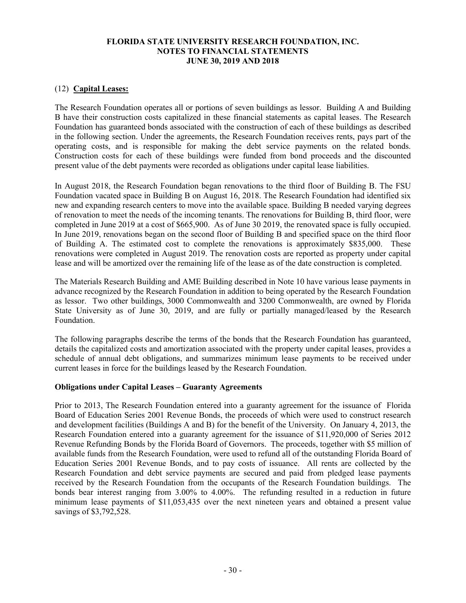# (12) **Capital Leases:**

The Research Foundation operates all or portions of seven buildings as lessor. Building A and Building B have their construction costs capitalized in these financial statements as capital leases. The Research Foundation has guaranteed bonds associated with the construction of each of these buildings as described in the following section. Under the agreements, the Research Foundation receives rents, pays part of the operating costs, and is responsible for making the debt service payments on the related bonds. Construction costs for each of these buildings were funded from bond proceeds and the discounted present value of the debt payments were recorded as obligations under capital lease liabilities.

In August 2018, the Research Foundation began renovations to the third floor of Building B. The FSU Foundation vacated space in Building B on August 16, 2018. The Research Foundation had identified six new and expanding research centers to move into the available space. Building B needed varying degrees of renovation to meet the needs of the incoming tenants. The renovations for Building B, third floor, were completed in June 2019 at a cost of \$665,900. As of June 30 2019, the renovated space is fully occupied. In June 2019, renovations began on the second floor of Building B and specified space on the third floor of Building A. The estimated cost to complete the renovations is approximately \$835,000. These renovations were completed in August 2019. The renovation costs are reported as property under capital lease and will be amortized over the remaining life of the lease as of the date construction is completed.

The Materials Research Building and AME Building described in Note 10 have various lease payments in advance recognized by the Research Foundation in addition to being operated by the Research Foundation as lessor. Two other buildings, 3000 Commonwealth and 3200 Commonwealth, are owned by Florida State University as of June 30, 2019, and are fully or partially managed/leased by the Research Foundation.

The following paragraphs describe the terms of the bonds that the Research Foundation has guaranteed, details the capitalized costs and amortization associated with the property under capital leases, provides a schedule of annual debt obligations, and summarizes minimum lease payments to be received under current leases in force for the buildings leased by the Research Foundation.

## **Obligations under Capital Leases – Guaranty Agreements**

Prior to 2013, The Research Foundation entered into a guaranty agreement for the issuance of Florida Board of Education Series 2001 Revenue Bonds, the proceeds of which were used to construct research and development facilities (Buildings A and B) for the benefit of the University. On January 4, 2013, the Research Foundation entered into a guaranty agreement for the issuance of \$11,920,000 of Series 2012 Revenue Refunding Bonds by the Florida Board of Governors. The proceeds, together with \$5 million of available funds from the Research Foundation, were used to refund all of the outstanding Florida Board of Education Series 2001 Revenue Bonds, and to pay costs of issuance. All rents are collected by the Research Foundation and debt service payments are secured and paid from pledged lease payments received by the Research Foundation from the occupants of the Research Foundation buildings. The bonds bear interest ranging from 3.00% to 4.00%. The refunding resulted in a reduction in future minimum lease payments of \$11,053,435 over the next nineteen years and obtained a present value savings of \$3,792,528.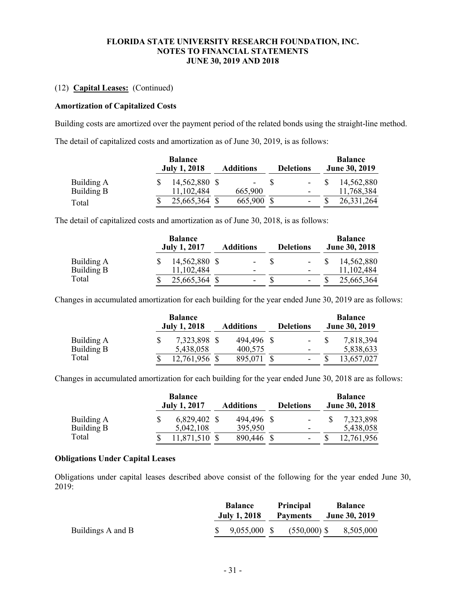# (12) **Capital Leases:** (Continued)

### **Amortization of Capitalized Costs**

Building costs are amortized over the payment period of the related bonds using the straight-line method.

The detail of capitalized costs and amortization as of June 30, 2019, is as follows:

|            | <b>Balance</b><br><b>July 1, 2018</b> | <b>Additions</b> | <b>Deletions</b>         | <b>Balance</b><br>June 30, 2019 |
|------------|---------------------------------------|------------------|--------------------------|---------------------------------|
| Building A | 14,562,880 \$                         | $\sim$           |                          | 14,562,880                      |
| Building B | 11,102,484                            | 665,900          | $\overline{\phantom{0}}$ | 11,768,384                      |
| Total      | 25,665,364 \$                         | 665,900 \$       | $\overline{\phantom{0}}$ | 26, 331, 264                    |

The detail of capitalized costs and amortization as of June 30, 2018, is as follows:

|            | <b>Balance</b><br><b>July 1, 2017</b> | <b>Additions</b>         | <b>Deletions</b> | <b>Balance</b><br>June 30, 2018 |
|------------|---------------------------------------|--------------------------|------------------|---------------------------------|
| Building A | 14,562,880 \$                         | $\overline{\phantom{0}}$ |                  | 14,562,880                      |
| Building B | 11,102,484                            | $\overline{\phantom{0}}$ | -                | 11, 102, 484                    |
| Total      | 25,665,364 \$                         | $\overline{\phantom{0}}$ |                  | 25,665,364                      |

Changes in accumulated amortization for each building for the year ended June 30, 2019 are as follows:

|                          | <b>Balance</b><br><b>July 1, 2018</b> | <b>Additions</b>      | <b>Deletions</b>         | <b>Balance</b><br>June 30, 2019 |
|--------------------------|---------------------------------------|-----------------------|--------------------------|---------------------------------|
| Building A<br>Building B | 7,323,898 \$<br>5,438,058             | 494,496 \$<br>400,575 |                          | 7,818,394<br>5,838,633          |
| Total                    | 12,761,956 \$                         | 895,071               | $\overline{\phantom{a}}$ | 13,657,027                      |

Changes in accumulated amortization for each building for the year ended June 30, 2018 are as follows:

|                          | <b>Balance</b><br><b>July 1, 2017</b> | <b>Additions</b>      | <b>Deletions</b>                                     | <b>Balance</b><br><b>June 30, 2018</b> |
|--------------------------|---------------------------------------|-----------------------|------------------------------------------------------|----------------------------------------|
| Building A<br>Building B | 6,829,402 \$<br>5,042,108             | 494,496 \$<br>395,950 | $\overline{\phantom{a}}$<br>$\overline{\phantom{0}}$ | 7,323,898<br>5,438,058                 |
| Total                    | 11,871,510 \$                         | 890,446 \$            | -                                                    | 12,761,956                             |

## **Obligations Under Capital Leases**

Obligations under capital leases described above consist of the following for the year ended June 30, 2019:

|                   | <b>Balance</b><br><b>July 1, 2018</b> | <b>Principal</b><br>Payments | <b>Balance</b><br><b>June 30, 2019</b> |
|-------------------|---------------------------------------|------------------------------|----------------------------------------|
| Buildings A and B | $\frac{\$}{\$}$ 9,055,000 \mot        | $(550,000)$ \$               | 8,505,000                              |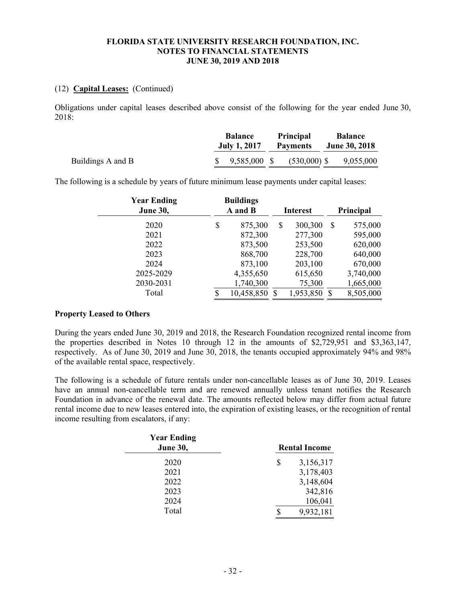# (12) **Capital Leases:** (Continued)

Obligations under capital leases described above consist of the following for the year ended June 30, 2018:

|                   | <b>Balance</b><br><b>July 1, 2017</b> | <b>Principal</b><br><b>Payments</b> | <b>Balance</b><br><b>June 30, 2018</b> |
|-------------------|---------------------------------------|-------------------------------------|----------------------------------------|
| Buildings A and B | $\frac{\$}{\$}$ 9.585,000 \mot        | $(530,000)$ \$                      | 9,055,000                              |

The following is a schedule by years of future minimum lease payments under capital leases:

| <b>Year Ending</b><br><b>June 30,</b> | <b>Buildings</b><br>A and B | Interest      |   | Principal |
|---------------------------------------|-----------------------------|---------------|---|-----------|
| 2020                                  | \$<br>875,300               | \$<br>300,300 | S | 575,000   |
| 2021                                  | 872,300                     | 277,300       |   | 595,000   |
| 2022                                  | 873,500                     | 253,500       |   | 620,000   |
| 2023                                  | 868,700                     | 228,700       |   | 640,000   |
| 2024                                  | 873,100                     | 203,100       |   | 670,000   |
| 2025-2029                             | 4,355,650                   | 615,650       |   | 3,740,000 |
| 2030-2031                             | 1,740,300                   | 75,300        |   | 1,665,000 |
| Total                                 | \$<br>10,458,850 \$         | 1,953,850     |   | 8,505,000 |

## **Property Leased to Others**

During the years ended June 30, 2019 and 2018, the Research Foundation recognized rental income from the properties described in Notes 10 through 12 in the amounts of \$2,729,951 and \$3,363,147, respectively. As of June 30, 2019 and June 30, 2018, the tenants occupied approximately 94% and 98% of the available rental space, respectively.

The following is a schedule of future rentals under non-cancellable leases as of June 30, 2019. Leases have an annual non-cancellable term and are renewed annually unless tenant notifies the Research Foundation in advance of the renewal date. The amounts reflected below may differ from actual future rental income due to new leases entered into, the expiration of existing leases, or the recognition of rental income resulting from escalators, if any:

| <b>Year Ending</b><br><b>June 30,</b> |   | <b>Rental Income</b> |  |  |
|---------------------------------------|---|----------------------|--|--|
| 2020                                  | S | 3,156,317            |  |  |
| 2021                                  |   | 3,178,403            |  |  |
| 2022                                  |   | 3,148,604            |  |  |
| 2023                                  |   | 342,816              |  |  |
| 2024                                  |   | 106,041              |  |  |
| Total                                 |   | 9,932,181            |  |  |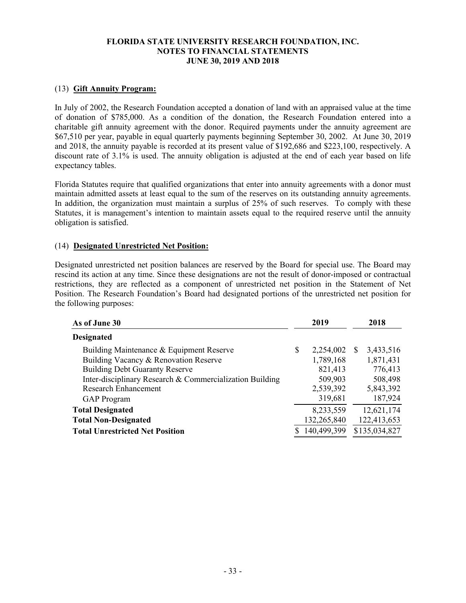# (13) **Gift Annuity Program:**

In July of 2002, the Research Foundation accepted a donation of land with an appraised value at the time of donation of \$785,000. As a condition of the donation, the Research Foundation entered into a charitable gift annuity agreement with the donor. Required payments under the annuity agreement are \$67,510 per year, payable in equal quarterly payments beginning September 30, 2002. At June 30, 2019 and 2018, the annuity payable is recorded at its present value of \$192,686 and \$223,100, respectively. A discount rate of 3.1% is used. The annuity obligation is adjusted at the end of each year based on life expectancy tables.

Florida Statutes require that qualified organizations that enter into annuity agreements with a donor must maintain admitted assets at least equal to the sum of the reserves on its outstanding annuity agreements. In addition, the organization must maintain a surplus of 25% of such reserves. To comply with these Statutes, it is management's intention to maintain assets equal to the required reserve until the annuity obligation is satisfied.

# (14) **Designated Unrestricted Net Position:**

Designated unrestricted net position balances are reserved by the Board for special use. The Board may rescind its action at any time. Since these designations are not the result of donor-imposed or contractual restrictions, they are reflected as a component of unrestricted net position in the Statement of Net Position. The Research Foundation's Board had designated portions of the unrestricted net position for the following purposes:

| As of June 30                                            | 2019            |    | 2018          |
|----------------------------------------------------------|-----------------|----|---------------|
| <b>Designated</b>                                        |                 |    |               |
| Building Maintenance & Equipment Reserve                 | \$<br>2,254,002 | -S | 3,433,516     |
| Building Vacancy & Renovation Reserve                    | 1,789,168       |    | 1,871,431     |
| <b>Building Debt Guaranty Reserve</b>                    | 821,413         |    | 776,413       |
| Inter-disciplinary Research & Commercialization Building | 509,903         |    | 508,498       |
| <b>Research Enhancement</b>                              | 2,539,392       |    | 5,843,392     |
| <b>GAP</b> Program                                       | 319,681         |    | 187,924       |
| <b>Total Designated</b>                                  | 8,233,559       |    | 12,621,174    |
| <b>Total Non-Designated</b>                              | 132,265,840     |    | 122,413,653   |
| <b>Total Unrestricted Net Position</b>                   | 140,499,399     |    | \$135,034,827 |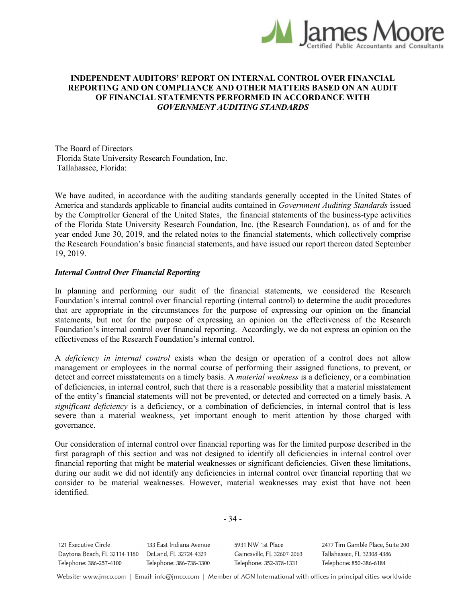

## **INDEPENDENT AUDITORS' REPORT ON INTERNAL CONTROL OVER FINANCIAL REPORTING AND ON COMPLIANCE AND OTHER MATTERS BASED ON AN AUDIT OF FINANCIAL STATEMENTS PERFORMED IN ACCORDANCE WITH** *GOVERNMENT AUDITING STANDARDS*

The Board of Directors Florida State University Research Foundation, Inc. Tallahassee, Florida:

We have audited, in accordance with the auditing standards generally accepted in the United States of America and standards applicable to financial audits contained in *Government Auditing Standards* issued by the Comptroller General of the United States, the financial statements of the business-type activities of the Florida State University Research Foundation, Inc. (the Research Foundation), as of and for the year ended June 30, 2019, and the related notes to the financial statements, which collectively comprise the Research Foundation's basic financial statements, and have issued our report thereon dated September 19, 2019.

#### *Internal Control Over Financial Reporting*

In planning and performing our audit of the financial statements, we considered the Research Foundation's internal control over financial reporting (internal control) to determine the audit procedures that are appropriate in the circumstances for the purpose of expressing our opinion on the financial statements, but not for the purpose of expressing an opinion on the effectiveness of the Research Foundation's internal control over financial reporting. Accordingly, we do not express an opinion on the effectiveness of the Research Foundation's internal control.

A *deficiency in internal control* exists when the design or operation of a control does not allow management or employees in the normal course of performing their assigned functions, to prevent, or detect and correct misstatements on a timely basis. A *material weakness* is a deficiency, or a combination of deficiencies, in internal control, such that there is a reasonable possibility that a material misstatement of the entity's financial statements will not be prevented, or detected and corrected on a timely basis. A *significant deficiency* is a deficiency, or a combination of deficiencies, in internal control that is less severe than a material weakness, yet important enough to merit attention by those charged with governance.

Our consideration of internal control over financial reporting was for the limited purpose described in the first paragraph of this section and was not designed to identify all deficiencies in internal control over financial reporting that might be material weaknesses or significant deficiencies. Given these limitations, during our audit we did not identify any deficiencies in internal control over financial reporting that we consider to be material weaknesses. However, material weaknesses may exist that have not been identified.

- 34 -

121 Executive Circle 133 East Indiana Avenue Daytona Beach, FL 32114-1180 DeLand, FL 32724-4329 Telephone: 386-257-4100 Telephone: 386-738-3300

5931 NW 1st Place Gainesville, FL 32607-2063 Telephone: 352-378-1331

2477 Tim Gamble Place, Suite 200 Tallahassee, FL 32308-4386 Telephone: 850-386-6184

Website: www.jmco.com | Email: info@jmco.com | Member of AGN International with offices in principal cities worldwide